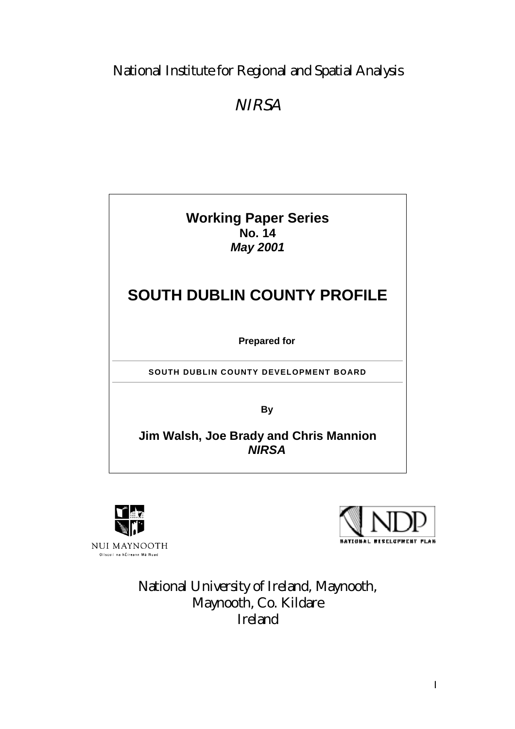### National Institute for Regional and Spatial Analysis

## **NIRSA**







National University of Ireland, Maynooth, Maynooth, Co. Kildare Ireland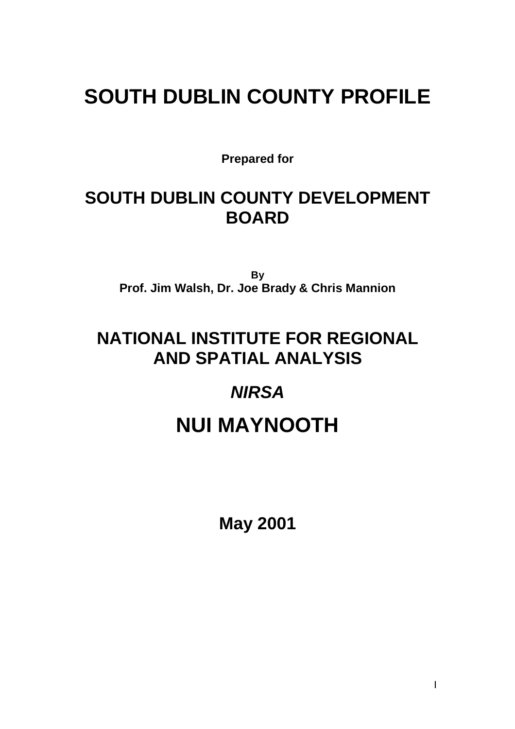# **SOUTH DUBLIN COUNTY PROFILE**

**Prepared for**

## **SOUTH DUBLIN COUNTY DEVELOPMENT BOARD**

**By Prof. Jim Walsh, Dr. Joe Brady & Chris Mannion**

## **NATIONAL INSTITUTE FOR REGIONAL AND SPATIAL ANALYSIS**

## *NIRSA*

# **NUI MAYNOOTH**

**May 2001**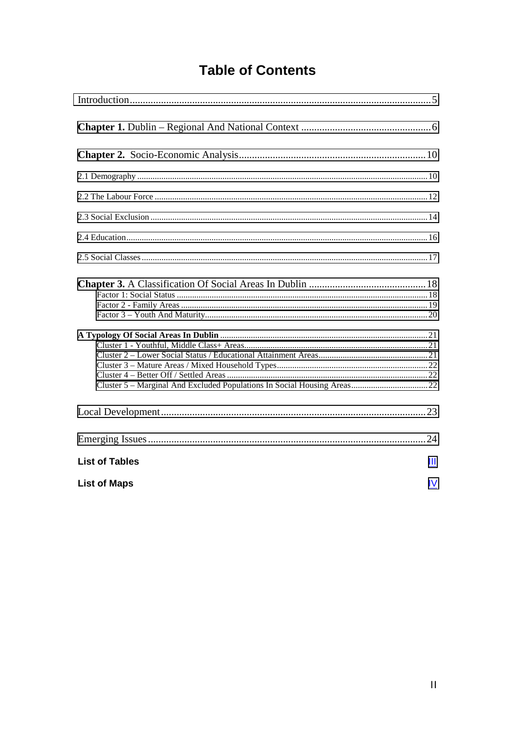## **Table of Contents**

| <b>List of Tables</b> | Ш  |
|-----------------------|----|
| <b>List of Maps</b>   | IV |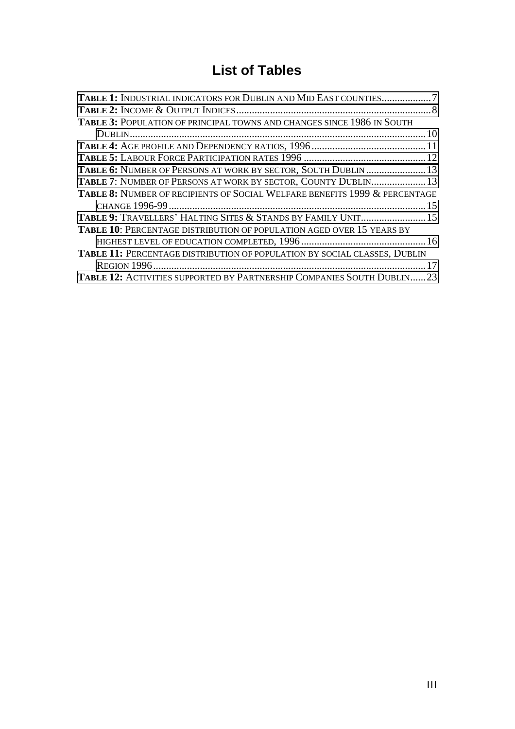## **List of Tables**

<span id="page-3-0"></span>

| TABLE 1: INDUSTRIAL INDICATORS FOR DUBLIN AND MID EAST COUNTIES7                      |  |
|---------------------------------------------------------------------------------------|--|
|                                                                                       |  |
| <b>TABLE 3: POPULATION OF PRINCIPAL TOWNS AND CHANGES SINCE 1986 IN SOUTH</b>         |  |
|                                                                                       |  |
|                                                                                       |  |
|                                                                                       |  |
| TABLE 6: NUMBER OF PERSONS AT WORK BY SECTOR, SOUTH DUBLIN  13                        |  |
| TABLE 7: NUMBER OF PERSONS AT WORK BY SECTOR, COUNTY DUBLIN 13                        |  |
| <b>TABLE 8: NUMBER OF RECIPIENTS OF SOCIAL WELFARE BENEFITS 1999 &amp; PERCENTAGE</b> |  |
|                                                                                       |  |
| TABLE 9: TRAVELLERS' HALTING SITES & STANDS BY FAMILY UNIT 15                         |  |
| TABLE 10: PERCENTAGE DISTRIBUTION OF POPULATION AGED OVER 15 YEARS BY                 |  |
|                                                                                       |  |
| TABLE 11: PERCENTAGE DISTRIBUTION OF POPULATION BY SOCIAL CLASSES, DUBLIN             |  |
|                                                                                       |  |
| TABLE 12: ACTIVITIES SUPPORTED BY PARTNERSHIP COMPANIES SOUTH DUBLIN23                |  |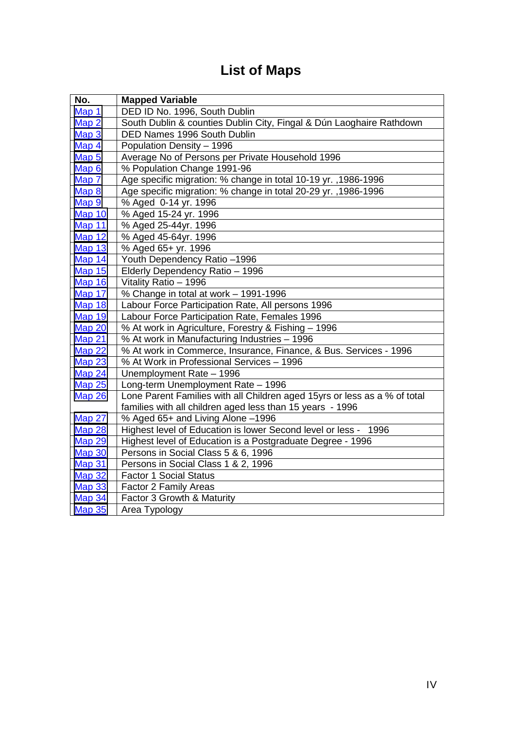## **List of Maps**

<span id="page-4-0"></span>

| No.           | <b>Mapped Variable</b>                                                    |
|---------------|---------------------------------------------------------------------------|
| Map 1         | DED ID No. 1996, South Dublin                                             |
| Map 2         | South Dublin & counties Dublin City, Fingal & Dún Laoghaire Rathdown      |
| Map 3         | DED Names 1996 South Dublin                                               |
| Map 4         | Population Density - 1996                                                 |
| Map 5         | Average No of Persons per Private Household 1996                          |
| Map 6         | % Population Change 1991-96                                               |
| Map 7         | Age specific migration: % change in total 10-19 yr., 1986-1996            |
| Map 8         | Age specific migration: % change in total 20-29 yr., 1986-1996            |
| Map 9         | % Aged 0-14 yr. 1996                                                      |
| Map 10        | % Aged 15-24 yr. 1996                                                     |
| <b>Map 11</b> | % Aged 25-44yr. 1996                                                      |
| <b>Map 12</b> | % Aged 45-64yr. 1996                                                      |
| <b>Map 13</b> | % Aged 65+ yr. 1996                                                       |
| <b>Map 14</b> | Youth Dependency Ratio -1996                                              |
| <b>Map 15</b> | Elderly Dependency Ratio - 1996                                           |
| <b>Map 16</b> | Vitality Ratio - 1996                                                     |
| <b>Map 17</b> | % Change in total at work - 1991-1996                                     |
| <b>Map 18</b> | Labour Force Participation Rate, All persons 1996                         |
| <b>Map 19</b> | Labour Force Participation Rate, Females 1996                             |
| Map 20        | % At work in Agriculture, Forestry & Fishing - 1996                       |
| <b>Map 21</b> | % At work in Manufacturing Industries - 1996                              |
| <b>Map 22</b> | % At work in Commerce, Insurance, Finance, & Bus. Services - 1996         |
| <b>Map 23</b> | % At Work in Professional Services - 1996                                 |
| <b>Map 24</b> | Unemployment Rate - 1996                                                  |
| <b>Map 25</b> | Long-term Unemployment Rate - 1996                                        |
| Map 26        | Lone Parent Families with all Children aged 15yrs or less as a % of total |
|               | families with all children aged less than 15 years - 1996                 |
| <b>Map 27</b> | % Aged 65+ and Living Alone -1996                                         |
| Map 28        | Highest level of Education is lower Second level or less - 1996           |
| <b>Map 29</b> | Highest level of Education is a Postgraduate Degree - 1996                |
| <b>Map 30</b> | Persons in Social Class 5 & 6, 1996                                       |
| Map 31        | Persons in Social Class 1 & 2, 1996                                       |
| <b>Map 32</b> | <b>Factor 1 Social Status</b>                                             |
| <b>Map 33</b> | Factor 2 Family Areas                                                     |
| <b>Map 34</b> | Factor 3 Growth & Maturity                                                |
| <b>Map 35</b> | Area Typology                                                             |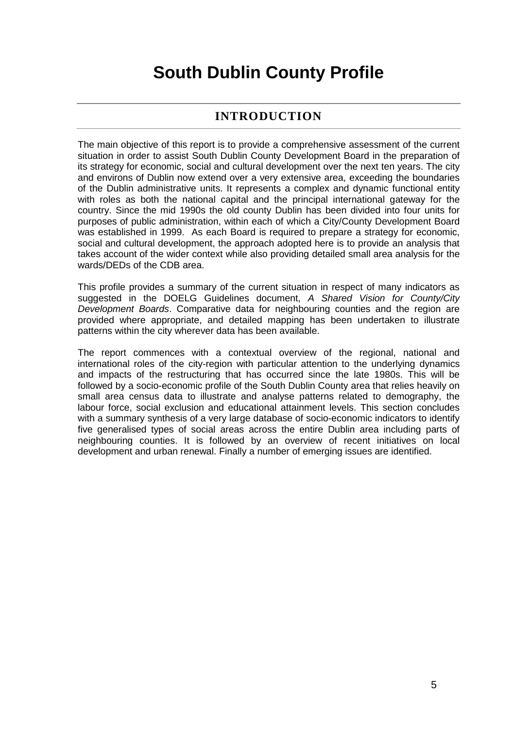## **South Dublin County Profile**

### **INTRODUCTION**

<span id="page-5-0"></span>The main objective of this report is to provide a comprehensive assessment of the current situation in order to assist South Dublin County Development Board in the preparation of its strategy for economic, social and cultural development over the next ten years. The city and environs of Dublin now extend over a very extensive area, exceeding the boundaries of the Dublin administrative units. It represents a complex and dynamic functional entity with roles as both the national capital and the principal international gateway for the country. Since the mid 1990s the old county Dublin has been divided into four units for purposes of public administration, within each of which a City/County Development Board was established in 1999. As each Board is required to prepare a strategy for economic, social and cultural development, the approach adopted here is to provide an analysis that takes account of the wider context while also providing detailed small area analysis for the wards/DEDs of the CDB area.

This profile provides a summary of the current situation in respect of many indicators as suggested in the DOELG Guidelines document, *A Shared Vision for County/City Development Boards*. Comparative data for neighbouring counties and the region are provided where appropriate, and detailed mapping has been undertaken to illustrate patterns within the city wherever data has been available.

The report commences with a contextual overview of the regional, national and international roles of the city-region with particular attention to the underlying dynamics and impacts of the restructuring that has occurred since the late 1980s. This will be followed by a socio-economic profile of the South Dublin County area that relies heavily on small area census data to illustrate and analyse patterns related to demography, the labour force, social exclusion and educational attainment levels. This section concludes with a summary synthesis of a very large database of socio-economic indicators to identify five generalised types of social areas across the entire Dublin area including parts of neighbouring counties. It is followed by an overview of recent initiatives on local development and urban renewal. Finally a number of emerging issues are identified.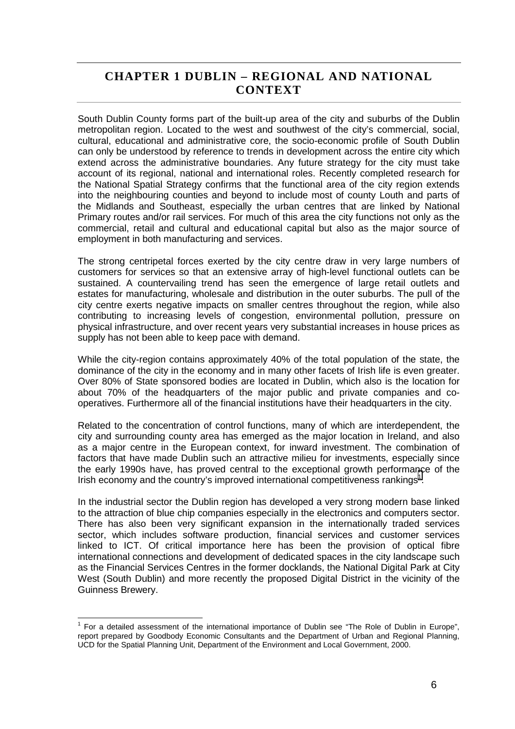### <span id="page-6-0"></span>**CHAPTER 1 DUBLIN – REGIONAL AND NATIONAL CONTEXT**

South Dublin County forms part of the built-up area of the city and suburbs of the Dublin metropolitan region. Located to the west and southwest of the city's commercial, social, cultural, educational and administrative core, the socio-economic profile of South Dublin can only be understood by reference to trends in development across the entire city which extend across the administrative boundaries. Any future strategy for the city must take account of its regional, national and international roles. Recently completed research for the National Spatial Strategy confirms that the functional area of the city region extends into the neighbouring counties and beyond to include most of county Louth and parts of the Midlands and Southeast, especially the urban centres that are linked by National Primary routes and/or rail services. For much of this area the city functions not only as the commercial, retail and cultural and educational capital but also as the major source of employment in both manufacturing and services.

The strong centripetal forces exerted by the city centre draw in very large numbers of customers for services so that an extensive array of high-level functional outlets can be sustained. A countervailing trend has seen the emergence of large retail outlets and estates for manufacturing, wholesale and distribution in the outer suburbs. The pull of the city centre exerts negative impacts on smaller centres throughout the region, while also contributing to increasing levels of congestion, environmental pollution, pressure on physical infrastructure, and over recent years very substantial increases in house prices as supply has not been able to keep pace with demand.

While the city-region contains approximately 40% of the total population of the state, the dominance of the city in the economy and in many other facets of Irish life is even greater. Over 80% of State sponsored bodies are located in Dublin, which also is the location for about 70% of the headquarters of the major public and private companies and cooperatives. Furthermore all of the financial institutions have their headquarters in the city.

Related to the concentration of control functions, many of which are interdependent, the city and surrounding county area has emerged as the major location in Ireland, and also as a major centre in the European context, for inward investment. The combination of factors that have made Dublin such an attractive milieu for investments, especially since the early 1990s have, has proved central to the exceptional growth performance of the Irish economy and the country's improved international competitiveness rankings<sup>1</sup>.

In the industrial sector the Dublin region has developed a very strong modern base linked to the attraction of blue chip companies especially in the electronics and computers sector. There has also been very significant expansion in the internationally traded services sector, which includes software production, financial services and customer services linked to ICT. Of critical importance here has been the provision of optical fibre international connections and development of dedicated spaces in the city landscape such as the Financial Services Centres in the former docklands, the National Digital Park at City West (South Dublin) and more recently the proposed Digital District in the vicinity of the Guinness Brewery.

 1 For a detailed assessment of the international importance of Dublin see "The Role of Dublin in Europe", report prepared by Goodbody Economic Consultants and the Department of Urban and Regional Planning, UCD for the Spatial Planning Unit, Department of the Environment and Local Government, 2000.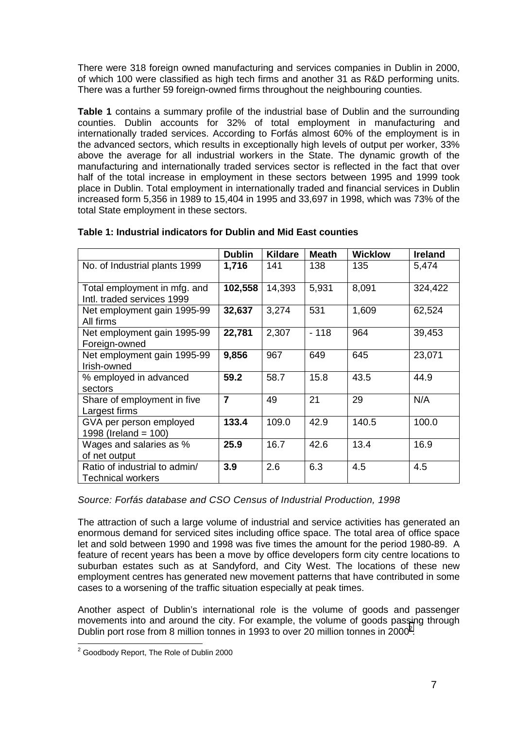<span id="page-7-0"></span>There were 318 foreign owned manufacturing and services companies in Dublin in 2000, of which 100 were classified as high tech firms and another 31 as R&D performing units. There was a further 59 foreign-owned firms throughout the neighbouring counties.

**Table 1** contains a summary profile of the industrial base of Dublin and the surrounding counties. Dublin accounts for 32% of total employment in manufacturing and internationally traded services. According to Forfás almost 60% of the employment is in the advanced sectors, which results in exceptionally high levels of output per worker, 33% above the average for all industrial workers in the State. The dynamic growth of the manufacturing and internationally traded services sector is reflected in the fact that over half of the total increase in employment in these sectors between 1995 and 1999 took place in Dublin. Total employment in internationally traded and financial services in Dublin increased form 5,356 in 1989 to 15,404 in 1995 and 33,697 in 1998, which was 73% of the total State employment in these sectors.

|                                                            | <b>Dublin</b> | <b>Kildare</b> | <b>Meath</b> | <b>Wicklow</b> | <b>Ireland</b> |
|------------------------------------------------------------|---------------|----------------|--------------|----------------|----------------|
| No. of Industrial plants 1999                              | 1,716         | 141            | 138          | 135            | 5,474          |
| Total employment in mfg. and<br>Intl. traded services 1999 | 102,558       | 14,393         | 5,931        | 8,091          | 324,422        |
| Net employment gain 1995-99<br>All firms                   | 32,637        | 3,274          | 531          | 1,609          | 62,524         |
| Net employment gain 1995-99<br>Foreign-owned               | 22,781        | 2,307          | $-118$       | 964            | 39,453         |
| Net employment gain 1995-99<br>Irish-owned                 | 9,856         | 967            | 649          | 645            | 23,071         |
| % employed in advanced<br>sectors                          | 59.2          | 58.7           | 15.8         | 43.5           | 44.9           |
| Share of employment in five<br>Largest firms               | 7             | 49             | 21           | 29             | N/A            |
| GVA per person employed<br>1998 (Ireland = $100$ )         | 133.4         | 109.0          | 42.9         | 140.5          | 100.0          |
| Wages and salaries as %<br>of net output                   | 25.9          | 16.7           | 42.6         | 13.4           | 16.9           |
| Ratio of industrial to admin/<br><b>Technical workers</b>  | 3.9           | 2.6            | 6.3          | 4.5            | 4.5            |

### **Table 1: Industrial indicators for Dublin and Mid East counties**

### *Source: Forfás database and CSO Census of Industrial Production, 1998*

The attraction of such a large volume of industrial and service activities has generated an enormous demand for serviced sites including office space. The total area of office space let and sold between 1990 and 1998 was five times the amount for the period 1980-89. A feature of recent years has been a move by office developers form city centre locations to suburban estates such as at Sandyford, and City West. The locations of these new employment centres has generated new movement patterns that have contributed in some cases to a worsening of the traffic situation especially at peak times.

Another aspect of Dublin's international role is the volume of goods and passenger movements into and around the city. For example, the volume of goods passing through Dublin port rose from 8 million tonnes in 1993 to over 20 million tonnes in 2000<sup>2</sup>.

 2 Goodbody Report, The Role of Dublin 2000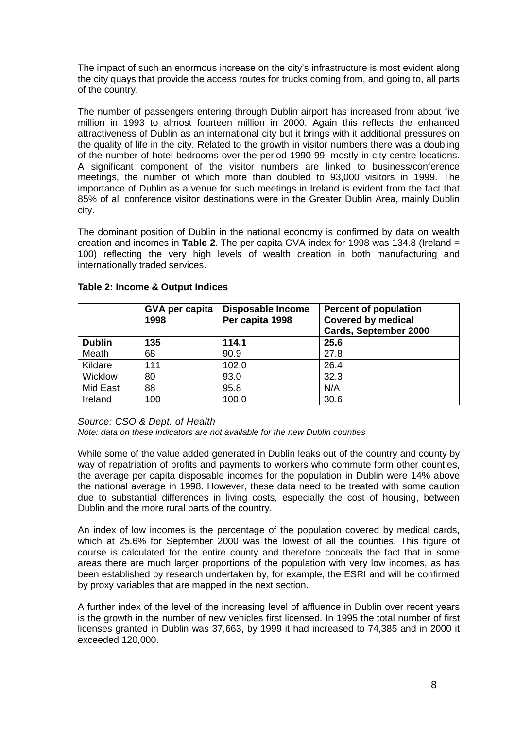<span id="page-8-0"></span>The impact of such an enormous increase on the city's infrastructure is most evident along the city quays that provide the access routes for trucks coming from, and going to, all parts of the country.

The number of passengers entering through Dublin airport has increased from about five million in 1993 to almost fourteen million in 2000. Again this reflects the enhanced attractiveness of Dublin as an international city but it brings with it additional pressures on the quality of life in the city. Related to the growth in visitor numbers there was a doubling of the number of hotel bedrooms over the period 1990-99, mostly in city centre locations. A significant component of the visitor numbers are linked to business/conference meetings, the number of which more than doubled to 93,000 visitors in 1999. The importance of Dublin as a venue for such meetings in Ireland is evident from the fact that 85% of all conference visitor destinations were in the Greater Dublin Area, mainly Dublin city.

The dominant position of Dublin in the national economy is confirmed by data on wealth creation and incomes in **Table 2**. The per capita GVA index for 1998 was 134.8 (Ireland = 100) reflecting the very high levels of wealth creation in both manufacturing and internationally traded services.

|               | GVA per capita<br>1998 | <b>Disposable Income</b><br>Per capita 1998 | <b>Percent of population</b><br><b>Covered by medical</b><br><b>Cards, September 2000</b> |
|---------------|------------------------|---------------------------------------------|-------------------------------------------------------------------------------------------|
| <b>Dublin</b> | 135                    | 114.1                                       | 25.6                                                                                      |
| Meath         | 68                     | 90.9                                        | 27.8                                                                                      |
| Kildare       | 111                    | 102.0                                       | 26.4                                                                                      |
| Wicklow       | 80                     | 93.0                                        | 32.3                                                                                      |
| Mid East      | 88                     | 95.8                                        | N/A                                                                                       |
| Ireland       | 100                    | 100.0                                       | 30.6                                                                                      |

### **Table 2: Income & Output Indices**

*Source: CSO & Dept. of Health*

*Note: data on these indicators are not available for the new Dublin counties*

While some of the value added generated in Dublin leaks out of the country and county by way of repatriation of profits and payments to workers who commute form other counties, the average per capita disposable incomes for the population in Dublin were 14% above the national average in 1998. However, these data need to be treated with some caution due to substantial differences in living costs, especially the cost of housing, between Dublin and the more rural parts of the country.

An index of low incomes is the percentage of the population covered by medical cards, which at 25.6% for September 2000 was the lowest of all the counties. This figure of course is calculated for the entire county and therefore conceals the fact that in some areas there are much larger proportions of the population with very low incomes, as has been established by research undertaken by, for example, the ESRI and will be confirmed by proxy variables that are mapped in the next section.

A further index of the level of the increasing level of affluence in Dublin over recent years is the growth in the number of new vehicles first licensed. In 1995 the total number of first licenses granted in Dublin was 37,663, by 1999 it had increased to 74,385 and in 2000 it exceeded 120,000.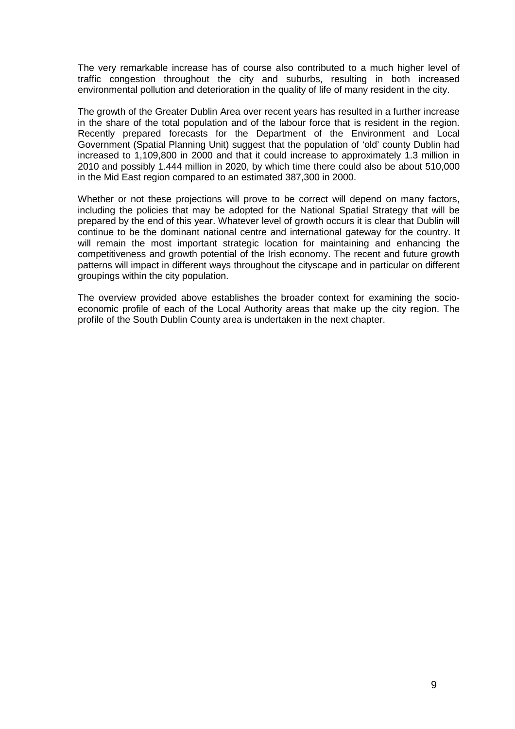The very remarkable increase has of course also contributed to a much higher level of traffic congestion throughout the city and suburbs, resulting in both increased environmental pollution and deterioration in the quality of life of many resident in the city.

The growth of the Greater Dublin Area over recent years has resulted in a further increase in the share of the total population and of the labour force that is resident in the region. Recently prepared forecasts for the Department of the Environment and Local Government (Spatial Planning Unit) suggest that the population of 'old' county Dublin had increased to 1,109,800 in 2000 and that it could increase to approximately 1.3 million in 2010 and possibly 1.444 million in 2020, by which time there could also be about 510,000 in the Mid East region compared to an estimated 387,300 in 2000.

Whether or not these projections will prove to be correct will depend on many factors, including the policies that may be adopted for the National Spatial Strategy that will be prepared by the end of this year. Whatever level of growth occurs it is clear that Dublin will continue to be the dominant national centre and international gateway for the country. It will remain the most important strategic location for maintaining and enhancing the competitiveness and growth potential of the Irish economy. The recent and future growth patterns will impact in different ways throughout the cityscape and in particular on different groupings within the city population.

The overview provided above establishes the broader context for examining the socioeconomic profile of each of the Local Authority areas that make up the city region. The profile of the South Dublin County area is undertaken in the next chapter.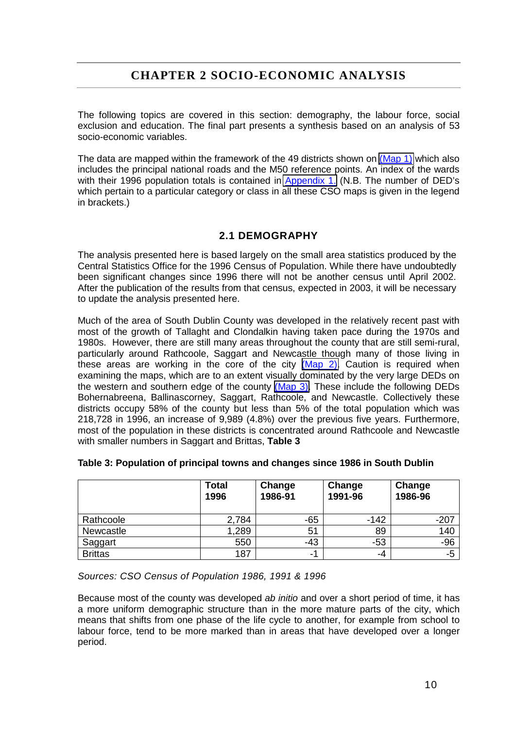### **CHAPTER 2 SOCIO-ECONOMIC ANALYSIS**

<span id="page-10-0"></span>The following topics are covered in this section: demography, the labour force, social exclusion and education. The final part presents a synthesis based on an analysis of 53 socio-economic variables.

The data are mapped within the framework of the 49 districts shown on (Map 1) which also includes the principal national roads and the M50 reference points. An index of the wards with their 1996 population totals is contained in **Appendix 1.** (N.B. The number of DED's which pertain to a particular category or class in all these CSO maps is given in the legend in brackets.)

### **2.1 DEMOGRAPHY**

The analysis presented here is based largely on the small area statistics produced by the Central Statistics Office for the 1996 Census of Population. While there have undoubtedly been significant changes since 1996 there will not be another census until April 2002. After the publication of the results from that census, expected in 2003, it will be necessary to update the analysis presented here.

Much of the area of South Dublin County was developed in the relatively recent past with most of the growth of Tallaght and Clondalkin having taken pace during the 1970s and 1980s. However, there are still many areas throughout the county that are still semi-rural, particularly around Rathcoole, Saggart and Newcastle though many of those living in these areas are working in the core of the city (Map 2). Caution is required when examining the maps, which are to an extent visually dominated by the very large DEDs on the western and southern edge of the county (Map 3). These include the following DEDs Bohernabreena, Ballinascorney, Saggart, Rathcoole, and Newcastle. Collectively these districts occupy 58% of the county but less than 5% of the total population which was 218,728 in 1996, an increase of 9,989 (4.8%) over the previous five years. Furthermore, most of the population in these districts is concentrated around Rathcoole and Newcastle with smaller numbers in Saggart and Brittas, **Table 3**

|                | <b>Total</b><br>1996 | Change<br>1986-91 | Change<br>1991-96 | Change<br>1986-96 |
|----------------|----------------------|-------------------|-------------------|-------------------|
| Rathcoole      | 2,784                | $-65$             | $-142$            | $-207$            |
| Newcastle      | 1,289                | 51                | 89                | 140               |
| Saggart        | 550                  | $-43$             | $-53$             | $-96$             |
| <b>Brittas</b> | 187                  | -1                | -4                | -5                |

#### **Table 3: Population of principal towns and changes since 1986 in South Dublin**

*Sources: CSO Census of Population 1986, 1991 & 1996*

Because most of the county was developed *ab initio* and over a short period of time, it has a more uniform demographic structure than in the more mature parts of the city, which means that shifts from one phase of the life cycle to another, for example from school to labour force, tend to be more marked than in areas that have developed over a longer period.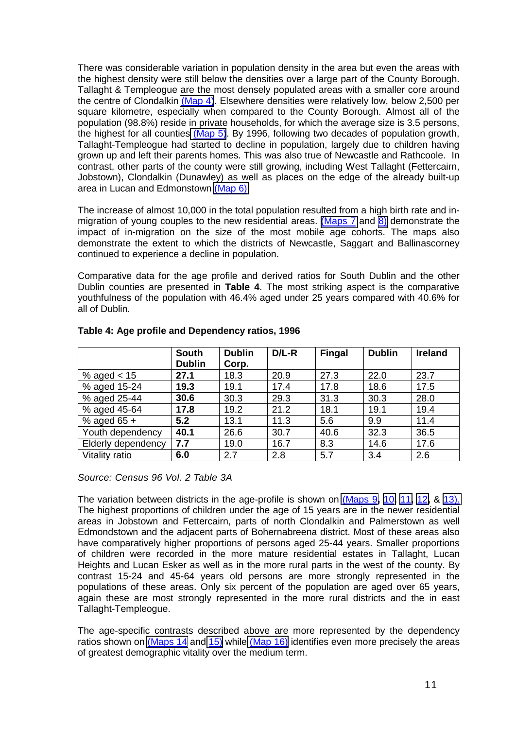<span id="page-11-0"></span>There was considerable variation in population density in the area but even the areas with the highest density were still below the densities over a large part of the County Borough. Tallaght & Templeogue are the most densely populated areas with a smaller core around the centre of Clondalkin (Map 4). Elsewhere densities were relatively low, below 2,500 per square kilometre, especially when compared to the County Borough. Almost all of the population (98.8%) reside in private households, for which the average size is 3.5 persons, the highest for all counties (Map 5). By 1996, following two decades of population growth, Tallaght-Templeogue had started to decline in population, largely due to children having grown up and left their parents homes. This was also true of Newcastle and Rathcoole. In contrast, other parts of the county were still growing, including West Tallaght (Fettercairn, Jobstown), Clondalkin (Dunawley) as well as places on the edge of the already built-up area in Lucan and Edmonstown (Map 6).

The increase of almost 10,000 in the total population resulted from a high birth rate and inmigration of young couples to the new residential areas. (Maps 7 and 8) demonstrate the impact of in-migration on the size of the most mobile age cohorts. The maps also demonstrate the extent to which the districts of Newcastle, Saggart and Ballinascorney continued to experience a decline in population.

Comparative data for the age profile and derived ratios for South Dublin and the other Dublin counties are presented in **Table 4**. The most striking aspect is the comparative youthfulness of the population with 46.4% aged under 25 years compared with 40.6% for all of Dublin.

|                    | <b>South</b>  | <b>Dublin</b> | $D/L-R$ | <b>Fingal</b> | <b>Dublin</b> | <b>Ireland</b> |
|--------------------|---------------|---------------|---------|---------------|---------------|----------------|
|                    | <b>Dublin</b> | Corp.         |         |               |               |                |
| % aged $< 15$      | 27.1          | 18.3          | 20.9    | 27.3          | 22.0          | 23.7           |
| % aged 15-24       | 19.3          | 19.1          | 17.4    | 17.8          | 18.6          | 17.5           |
| % aged 25-44       | 30.6          | 30.3          | 29.3    | 31.3          | 30.3          | 28.0           |
| % aged 45-64       | 17.8          | 19.2          | 21.2    | 18.1          | 19.1          | 19.4           |
| % aged $65 +$      | 5.2           | 13.1          | 11.3    | 5.6           | 9.9           | 11.4           |
| Youth dependency   | 40.1          | 26.6          | 30.7    | 40.6          | 32.3          | 36.5           |
| Elderly dependency | 7.7           | 19.0          | 16.7    | 8.3           | 14.6          | 17.6           |
| Vitality ratio     | 6.0           | 2.7           | 2.8     | 5.7           | 3.4           | 2.6            |

#### **Table 4: Age profile and Dependency ratios, 1996**

*Source: Census 96 Vol. 2 Table 3A*

The variation between districts in the age-profile is shown on (Maps 9**,** 10**,** 11**,** 12**,** & 13). The highest proportions of children under the age of 15 years are in the newer residential areas in Jobstown and Fettercairn, parts of north Clondalkin and Palmerstown as well Edmondstown and the adjacent parts of Bohernabreena district. Most of these areas also have comparatively higher proportions of persons aged 25-44 years. Smaller proportions of children were recorded in the more mature residential estates in Tallaght, Lucan Heights and Lucan Esker as well as in the more rural parts in the west of the county. By contrast 15-24 and 45-64 years old persons are more strongly represented in the populations of these areas. Only six percent of the population are aged over 65 years, again these are most strongly represented in the more rural districts and the in east Tallaght-Templeogue.

The age-specific contrasts described above are more represented by the dependency ratios shown on  $(Maps 14$  and  $15)$  while  $(Map 16)$  identifies even more precisely the areas of greatest demographic vitality over the medium term.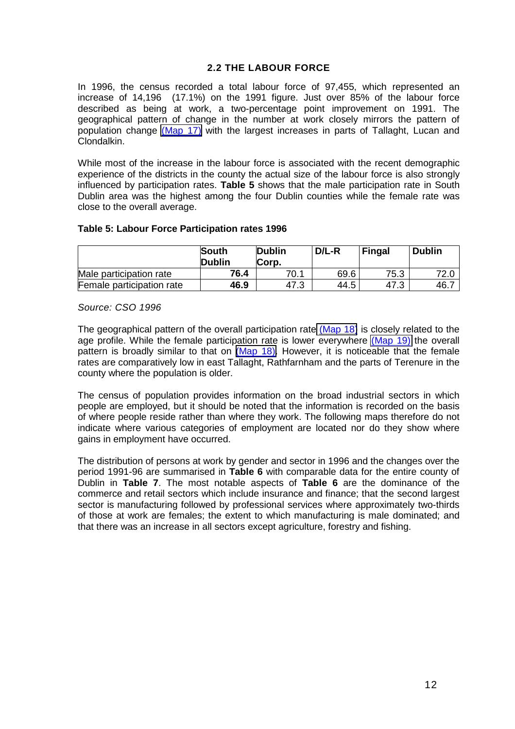### **2.2 THE LABOUR FORCE**

<span id="page-12-0"></span>In 1996, the census recorded a total labour force of 97,455, which represented an increase of 14,196 (17.1%) on the 1991 figure. Just over 85% of the labour force described as being at work, a two-percentage point improvement on 1991. The geographical pattern of change in the number at work closely mirrors the pattern of population change (Map 17) with the largest increases in parts of Tallaght, Lucan and Clondalkin.

While most of the increase in the labour force is associated with the recent demographic experience of the districts in the county the actual size of the labour force is also strongly influenced by participation rates. **Table 5** shows that the male participation rate in South Dublin area was the highest among the four Dublin counties while the female rate was close to the overall average.

#### **Table 5: Labour Force Participation rates 1996**

|                           | <b>South</b><br><b>Dublin</b> | <b>Dublin</b><br>Corp. | $D/L-R$ | <b>Fingal</b> | <b>Dublin</b> |
|---------------------------|-------------------------------|------------------------|---------|---------------|---------------|
| Male participation rate   | 76.4                          | 70.1                   | 69.6    | 75.3          |               |
| Female participation rate | 46.9                          | 47.3                   | 44.5    | 47.3          | 46.           |

*Source: CSO 1996*

The geographical pattern of the overall participation rate (Map 18) is closely related to the age profile. While the female participation rate is lower everywhere (Map 19) the overall pattern is broadly similar to that on (Map 18). However, it is noticeable that the female rates are comparatively low in east Tallaght, Rathfarnham and the parts of Terenure in the county where the population is older.

The census of population provides information on the broad industrial sectors in which people are employed, but it should be noted that the information is recorded on the basis of where people reside rather than where they work. The following maps therefore do not indicate where various categories of employment are located nor do they show where gains in employment have occurred.

The distribution of persons at work by gender and sector in 1996 and the changes over the period 1991-96 are summarised in **Table 6** with comparable data for the entire county of Dublin in **Table 7**. The most notable aspects of **Table 6** are the dominance of the commerce and retail sectors which include insurance and finance; that the second largest sector is manufacturing followed by professional services where approximately two-thirds of those at work are females; the extent to which manufacturing is male dominated; and that there was an increase in all sectors except agriculture, forestry and fishing.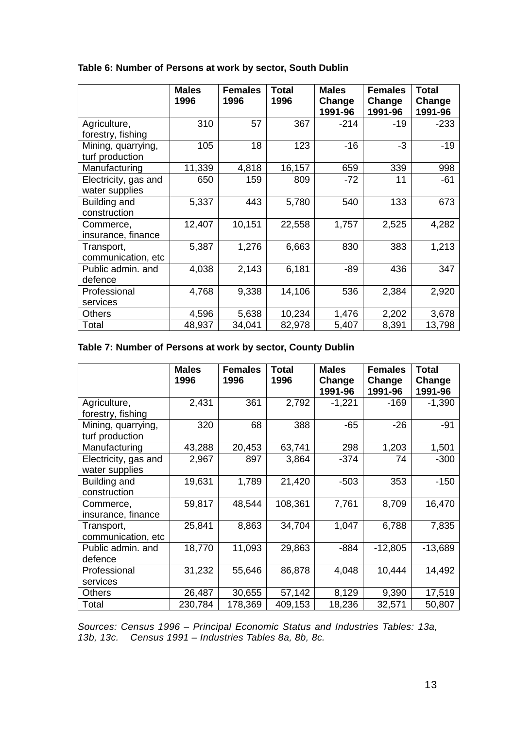|                                        | <b>Males</b><br>1996 | <b>Females</b><br>1996 | <b>Total</b><br>1996 | <b>Males</b><br>Change | <b>Females</b><br>Change | <b>Total</b><br>Change |
|----------------------------------------|----------------------|------------------------|----------------------|------------------------|--------------------------|------------------------|
|                                        |                      |                        |                      | 1991-96                | 1991-96                  | 1991-96                |
| Agriculture,<br>forestry, fishing      | 310                  | 57                     | 367                  | $-214$                 | $-19$                    | $-233$                 |
| Mining, quarrying,<br>turf production  | 105                  | 18                     | 123                  | $-16$                  | $-3$                     | $-19$                  |
| Manufacturing                          | 11,339               | 4,818                  | 16,157               | 659                    | 339                      | 998                    |
| Electricity, gas and<br>water supplies | 650                  | 159                    | 809                  | $-72$                  | 11                       | $-61$                  |
| Building and<br>construction           | 5,337                | 443                    | 5,780                | 540                    | 133                      | 673                    |
| Commerce,<br>insurance, finance        | 12,407               | 10,151                 | 22,558               | 1,757                  | 2,525                    | 4,282                  |
| Transport,<br>communication, etc       | 5,387                | 1,276                  | 6,663                | 830                    | 383                      | 1,213                  |
| Public admin. and<br>defence           | 4,038                | 2,143                  | 6,181                | $-89$                  | 436                      | 347                    |
| Professional<br>services               | 4,768                | 9,338                  | 14,106               | 536                    | 2,384                    | 2,920                  |
| <b>Others</b>                          | 4,596                | 5,638                  | 10,234               | 1,476                  | 2,202                    | 3,678                  |
| Total                                  | 48,937               | 34,041                 | 82,978               | 5,407                  | 8,391                    | 13,798                 |

### <span id="page-13-0"></span>**Table 6: Number of Persons at work by sector, South Dublin**

### **Table 7: Number of Persons at work by sector, County Dublin**

|                                        | <b>Males</b><br>1996 | <b>Females</b><br>1996 | Total<br>1996 | <b>Males</b><br>Change<br>1991-96 | <b>Females</b><br>Change<br>1991-96 | Total<br>Change<br>1991-96 |
|----------------------------------------|----------------------|------------------------|---------------|-----------------------------------|-------------------------------------|----------------------------|
| Agriculture,<br>forestry, fishing      | 2,431                | 361                    | 2,792         | $-1,221$                          | $-169$                              | $-1,390$                   |
| Mining, quarrying,<br>turf production  | 320                  | 68                     | 388           | $-65$                             | $-26$                               | $-91$                      |
| Manufacturing                          | 43,288               | 20,453                 | 63,741        | 298                               | 1,203                               | 1,501                      |
| Electricity, gas and<br>water supplies | 2,967                | 897                    | 3,864         | $-374$                            | 74                                  | $-300$                     |
| Building and<br>construction           | 19,631               | 1,789                  | 21,420        | $-503$                            | 353                                 | $-150$                     |
| Commerce,<br>insurance, finance        | 59,817               | 48,544                 | 108,361       | 7,761                             | 8,709                               | 16,470                     |
| Transport,<br>communication, etc       | 25,841               | 8,863                  | 34,704        | 1,047                             | 6,788                               | 7,835                      |
| Public admin. and<br>defence           | 18,770               | 11,093                 | 29,863        | $-884$                            | $-12,805$                           | $-13,689$                  |
| Professional<br>services               | 31,232               | 55,646                 | 86,878        | 4,048                             | 10,444                              | 14,492                     |
| Others                                 | 26,487               | 30,655                 | 57,142        | 8,129                             | 9,390                               | 17,519                     |
| Total                                  | 230,784              | 178,369                | 409,153       | 18,236                            | 32,571                              | 50,807                     |

*Sources: Census 1996 – Principal Economic Status and Industries Tables: 13a, 13b, 13c. Census 1991 – Industries Tables 8a, 8b, 8c.*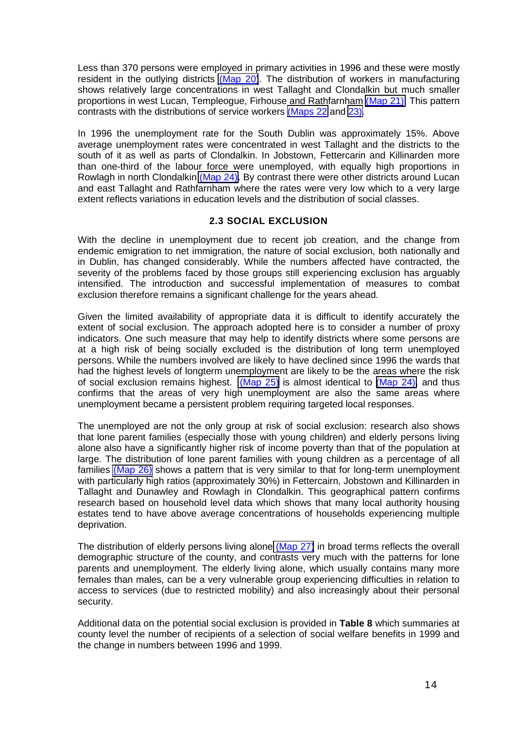<span id="page-14-0"></span>Less than 370 persons were employed in primary activities in 1996 and these were mostly resident in the outlying districts (Map 20). The distribution of workers in manufacturing shows relatively large concentrations in west Tallaght and Clondalkin but much smaller proportions in west Lucan, Templeogue, Firhouse and Rathfarnham (Map 21). This pattern contrasts with the distributions of service workers (Maps 22 and 23).

In 1996 the unemployment rate for the South Dublin was approximately 15%. Above average unemployment rates were concentrated in west Tallaght and the districts to the south of it as well as parts of Clondalkin. In Jobstown, Fettercarin and Killinarden more than one-third of the labour force were unemployed, with equally high proportions in Rowlagh in north Clondalkin (Map 24). By contrast there were other districts around Lucan and east Tallaght and Rathfarnham where the rates were very low which to a very large extent reflects variations in education levels and the distribution of social classes.

#### **2.3 SOCIAL EXCLUSION**

With the decline in unemployment due to recent job creation, and the change from endemic emigration to net immigration, the nature of social exclusion, both nationally and in Dublin, has changed considerably. While the numbers affected have contracted, the severity of the problems faced by those groups still experiencing exclusion has arguably intensified. The introduction and successful implementation of measures to combat exclusion therefore remains a significant challenge for the years ahead.

Given the limited availability of appropriate data it is difficult to identify accurately the extent of social exclusion. The approach adopted here is to consider a number of proxy indicators. One such measure that may help to identify districts where some persons are at a high risk of being socially excluded is the distribution of long term unemployed persons. While the numbers involved are likely to have declined since 1996 the wards that had the highest levels of longterm unemployment are likely to be the areas where the risk of social exclusion remains highest. (Map 25) is almost identical to (Map 24), and thus confirms that the areas of very high unemployment are also the same areas where unemployment became a persistent problem requiring targeted local responses.

The unemployed are not the only group at risk of social exclusion: research also shows that lone parent families (especially those with young children) and elderly persons living alone also have a significantly higher risk of income poverty than that of the population at large. The distribution of lone parent families with young children as a percentage of all families (Map 26) shows a pattern that is very similar to that for long-term unemployment with particularly high ratios (approximately 30%) in Fettercairn, Jobstown and Killinarden in Tallaght and Dunawley and Rowlagh in Clondalkin. This geographical pattern confirms research based on household level data which shows that many local authority housing estates tend to have above average concentrations of households experiencing multiple deprivation.

The distribution of elderly persons living alone (Map 27) in broad terms reflects the overall demographic structure of the county, and contrasts very much with the patterns for lone parents and unemployment. The elderly living alone, which usually contains many more females than males, can be a very vulnerable group experiencing difficulties in relation to access to services (due to restricted mobility) and also increasingly about their personal security.

Additional data on the potential social exclusion is provided in **Table 8** which summaries at county level the number of recipients of a selection of social welfare benefits in 1999 and the change in numbers between 1996 and 1999.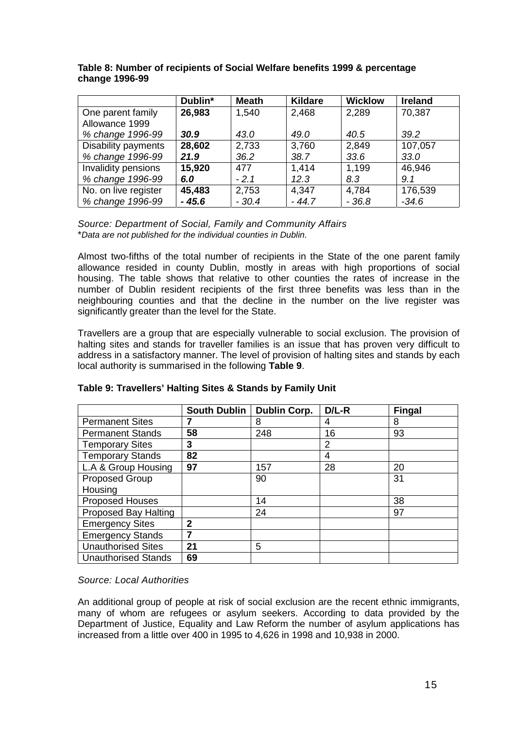|                      | Dublin* | <b>Meath</b> | <b>Kildare</b> | <b>Wicklow</b> | <b>Ireland</b> |
|----------------------|---------|--------------|----------------|----------------|----------------|
| One parent family    | 26,983  | 1,540        | 2,468          | 2,289          | 70,387         |
| Allowance 1999       |         |              |                |                |                |
| % change 1996-99     | 30.9    | 43.0         | 49.0           | 40.5           | 39.2           |
| Disability payments  | 28,602  | 2,733        | 3,760          | 2,849          | 107,057        |
| % change 1996-99     | 21.9    | 36.2         | 38.7           | 33.6           | 33.0           |
| Invalidity pensions  | 15,920  | 477          | 1,414          | 1,199          | 46,946         |
| % change 1996-99     | 6.0     | $-2.1$       | 12.3           | 8.3            | 9.1            |
| No. on live register | 45,483  | 2,753        | 4,347          | 4,784          | 176,539        |
| % change 1996-99     | $-45.6$ | $-30.4$      | $-44.7$        | $-36.8$        | $-34.6$        |

#### <span id="page-15-0"></span>**Table 8: Number of recipients of Social Welfare benefits 1999 & percentage change 1996-99**

*Source: Department of Social, Family and Community Affairs* \**Data are not published for the individual counties in Dublin.*

Almost two-fifths of the total number of recipients in the State of the one parent family allowance resided in county Dublin, mostly in areas with high proportions of social housing. The table shows that relative to other counties the rates of increase in the number of Dublin resident recipients of the first three benefits was less than in the neighbouring counties and that the decline in the number on the live register was significantly greater than the level for the State.

Travellers are a group that are especially vulnerable to social exclusion. The provision of halting sites and stands for traveller families is an issue that has proven very difficult to address in a satisfactory manner. The level of provision of halting sites and stands by each local authority is summarised in the following **Table 9**.

|                             | <b>South Dublin</b> | <b>Dublin Corp.</b> | $D/L-R$ | <b>Fingal</b> |
|-----------------------------|---------------------|---------------------|---------|---------------|
| <b>Permanent Sites</b>      |                     | 8                   | 4       | 8             |
| <b>Permanent Stands</b>     | 58                  | 248                 | 16      | 93            |
| <b>Temporary Sites</b>      | 3                   |                     | 2       |               |
| <b>Temporary Stands</b>     | 82                  |                     | 4       |               |
| L.A & Group Housing         | 97                  | 157                 | 28      | 20            |
| Proposed Group              |                     | 90                  |         | 31            |
| Housing                     |                     |                     |         |               |
| <b>Proposed Houses</b>      |                     | 14                  |         | 38            |
| <b>Proposed Bay Halting</b> |                     | 24                  |         | 97            |
| <b>Emergency Sites</b>      | $\mathbf{2}$        |                     |         |               |
| <b>Emergency Stands</b>     |                     |                     |         |               |
| <b>Unauthorised Sites</b>   | 21                  | 5                   |         |               |
| <b>Unauthorised Stands</b>  | 69                  |                     |         |               |

**Table 9: Travellers' Halting Sites & Stands by Family Unit**

*Source: Local Authorities*

An additional group of people at risk of social exclusion are the recent ethnic immigrants, many of whom are refugees or asylum seekers. According to data provided by the Department of Justice, Equality and Law Reform the number of asylum applications has increased from a little over 400 in 1995 to 4,626 in 1998 and 10,938 in 2000.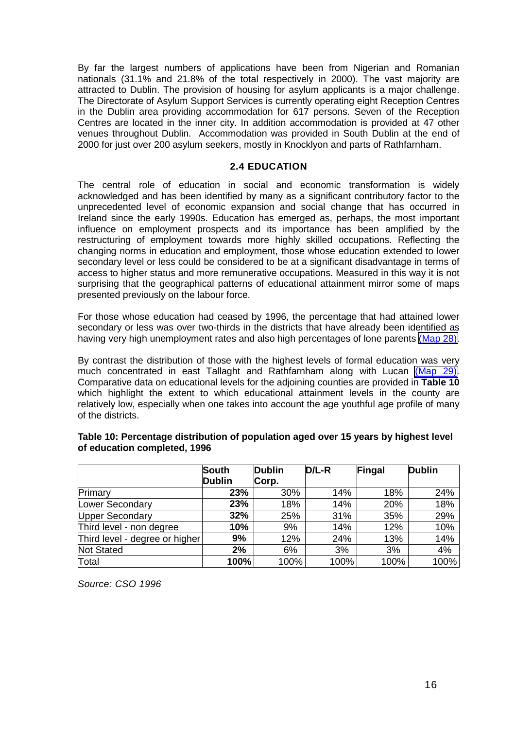<span id="page-16-0"></span>By far the largest numbers of applications have been from Nigerian and Romanian nationals (31.1% and 21.8% of the total respectively in 2000). The vast majority are attracted to Dublin. The provision of housing for asylum applicants is a major challenge. The Directorate of Asylum Support Services is currently operating eight Reception Centres in the Dublin area providing accommodation for 617 persons. Seven of the Reception Centres are located in the inner city. In addition accommodation is provided at 47 other venues throughout Dublin. Accommodation was provided in South Dublin at the end of 2000 for just over 200 asylum seekers, mostly in Knocklyon and parts of Rathfarnham.

#### **2.4 EDUCATION**

The central role of education in social and economic transformation is widely acknowledged and has been identified by many as a significant contributory factor to the unprecedented level of economic expansion and social change that has occurred in Ireland since the early 1990s. Education has emerged as, perhaps, the most important influence on employment prospects and its importance has been amplified by the restructuring of employment towards more highly skilled occupations. Reflecting the changing norms in education and employment, those whose education extended to lower secondary level or less could be considered to be at a significant disadvantage in terms of access to higher status and more remunerative occupations. Measured in this way it is not surprising that the geographical patterns of educational attainment mirror some of maps presented previously on the labour force.

For those whose education had ceased by 1996, the percentage that had attained lower secondary or less was over two-thirds in the districts that have already been identified as having very high unemployment rates and also high percentages of lone parents (Map 28).

By contrast the distribution of those with the highest levels of formal education was very much concentrated in east Tallaght and Rathfarnham along with Lucan (Map 29). Comparative data on educational levels for the adjoining counties are provided in **Table 10** which highlight the extent to which educational attainment levels in the county are relatively low, especially when one takes into account the age youthful age profile of many of the districts.

|                                | South         | <b>Dublin</b> | D/L-R | Fingal | <b>Dublin</b> |
|--------------------------------|---------------|---------------|-------|--------|---------------|
|                                | <b>Dublin</b> | Corp.         |       |        |               |
| Primary                        | 23%           | 30%           | 14%   | 18%    | 24%           |
| <b>Lower Secondary</b>         | 23%           | 18%           | 14%   | 20%    | 18%           |
| <b>Upper Secondary</b>         | 32%           | 25%           | 31%   | 35%    | 29%           |
| Third level - non degree       | 10%           | 9%            | 14%   | 12%    | 10%           |
| Third level - degree or higher | 9%            | 12%           | 24%   | 13%    | 14%           |
| <b>Not Stated</b>              | 2%            | 6%            | 3%    | 3%     | 4%            |
| Total                          | 100%          | 100%          | 100%  | 100%   | 100%          |

#### **Table 10: Percentage distribution of population aged over 15 years by highest level of education completed, 1996**

*Source: CSO 1996*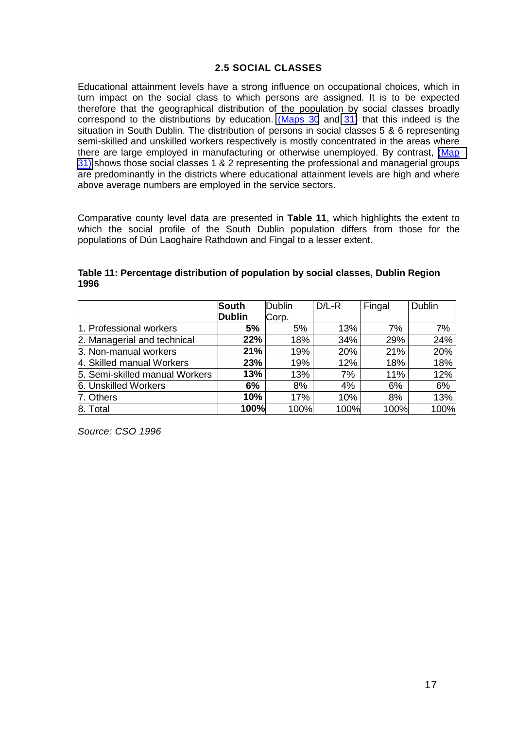### **2.5 SOCIAL CLASSES**

<span id="page-17-0"></span>Educational attainment levels have a strong influence on occupational choices, which in turn impact on the social class to which persons are assigned. It is to be expected therefore that the geographical distribution of the population by social classes broadly correspond to the distributions by education. (Maps 30 and 31) that this indeed is the situation in South Dublin. The distribution of persons in social classes 5 & 6 representing semi-skilled and unskilled workers respectively is mostly concentrated in the areas where there are large employed in manufacturing or otherwise unemployed. By contrast, (Map 31) shows those social classes 1 & 2 representing the professional and managerial groups are predominantly in the districts where educational attainment levels are high and where above average numbers are employed in the service sectors.

Comparative county level data are presented in **Table 11**, which highlights the extent to which the social profile of the South Dublin population differs from those for the populations of Dún Laoghaire Rathdown and Fingal to a lesser extent.

|                                | South         | Dublin | $D/L-R$ | Fingal | <b>Dublin</b> |
|--------------------------------|---------------|--------|---------|--------|---------------|
|                                | <b>Dublin</b> | Corp.  |         |        |               |
| 1. Professional workers        | 5%            | 5%     | 13%     | 7%     | 7%            |
| 2. Managerial and technical    | 22%           | 18%    | 34%     | 29%    | 24%           |
| 3. Non-manual workers          | 21%           | 19%    | 20%     | 21%    | 20%           |
| 4. Skilled manual Workers      | 23%           | 19%    | 12%     | 18%    | 18%           |
| 5. Semi-skilled manual Workers | 13%           | 13%    | 7%      | 11%    | 12%           |
| 6. Unskilled Workers           | 6%            | 8%     | 4%      | 6%     | 6%            |
| 7. Others                      | 10%           | 17%    | 10%     | 8%     | 13%           |
| 8. Total                       | 100%          | 100%   | 100%    | 100%   | 100%          |

**Table 11: Percentage distribution of population by social classes, Dublin Region 1996**

*Source: CSO 1996*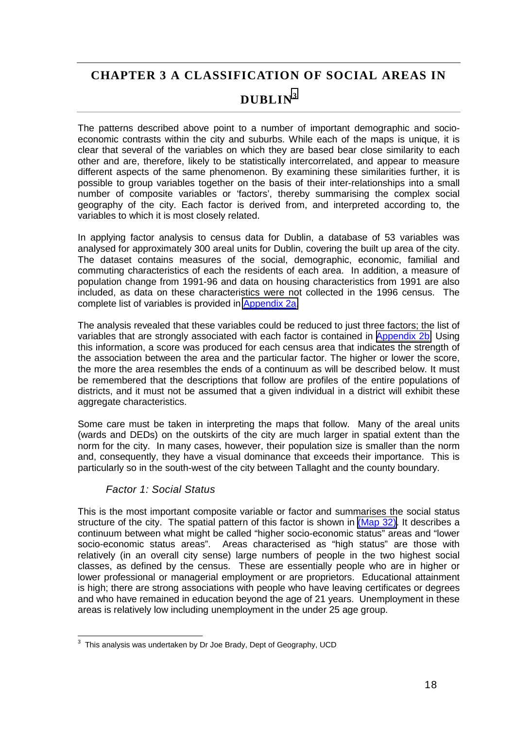### <span id="page-18-0"></span>**CHAPTER 3 A CLASSIFICATION OF SOCIAL AREAS IN**

### **DUBLIN<sup>3</sup>**

The patterns described above point to a number of important demographic and socioeconomic contrasts within the city and suburbs. While each of the maps is unique, it is clear that several of the variables on which they are based bear close similarity to each other and are, therefore, likely to be statistically intercorrelated, and appear to measure different aspects of the same phenomenon. By examining these similarities further, it is possible to group variables together on the basis of their inter-relationships into a small number of composite variables or 'factors', thereby summarising the complex social geography of the city. Each factor is derived from, and interpreted according to, the variables to which it is most closely related.

In applying factor analysis to census data for Dublin, a database of 53 variables was analysed for approximately 300 areal units for Dublin, covering the built up area of the city. The dataset contains measures of the social, demographic, economic, familial and commuting characteristics of each the residents of each area. In addition, a measure of population change from 1991-96 and data on housing characteristics from 1991 are also included, as data on these characteristics were not collected in the 1996 census. The complete list of variables is provided in [Appendix 2a.](#page-27-0)

The analysis revealed that these variables could be reduced to just three factors; the list of variables that are strongly associated with each factor is contained in [Appendix 2b.](#page-29-0) Using this information, a score was produced for each census area that indicates the strength of the association between the area and the particular factor. The higher or lower the score, the more the area resembles the ends of a continuum as will be described below. It must be remembered that the descriptions that follow are profiles of the entire populations of districts, and it must not be assumed that a given individual in a district will exhibit these aggregate characteristics.

Some care must be taken in interpreting the maps that follow. Many of the areal units (wards and DEDs) on the outskirts of the city are much larger in spatial extent than the norm for the city. In many cases, however, their population size is smaller than the norm and, consequently, they have a visual dominance that exceeds their importance. This is particularly so in the south-west of the city between Tallaght and the county boundary.

### *Factor 1: Social Status*

This is the most important composite variable or factor and summarises the social status structure of the city. The spatial pattern of this factor is shown in (Map 32). It describes a continuum between what might be called "higher socio-economic status" areas and "lower socio-economic status areas". Areas characterised as "high status" are those with relatively (in an overall city sense) large numbers of people in the two highest social classes, as defined by the census. These are essentially people who are in higher or lower professional or managerial employment or are proprietors. Educational attainment is high; there are strong associations with people who have leaving certificates or degrees and who have remained in education beyond the age of 21 years. Unemployment in these areas is relatively low including unemployment in the under 25 age group.

 3 This analysis was undertaken by Dr Joe Brady, Dept of Geography, UCD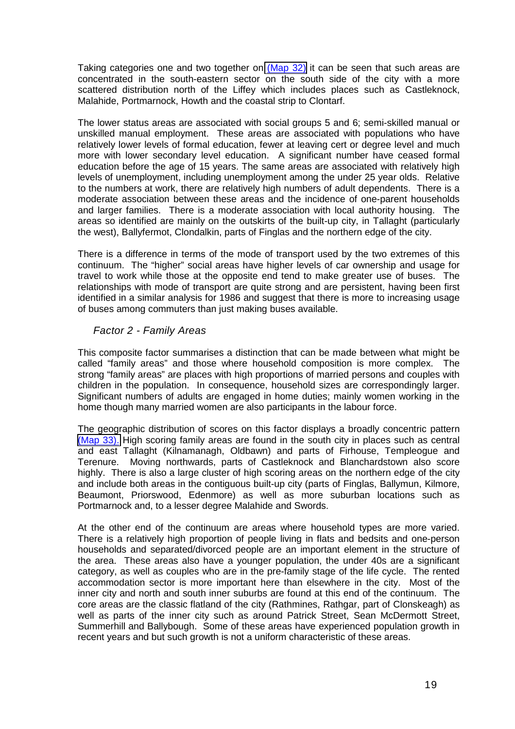<span id="page-19-0"></span>Taking categories one and two together on (Map 32) it can be seen that such areas are concentrated in the south-eastern sector on the south side of the city with a more scattered distribution north of the Liffey which includes places such as Castleknock, Malahide, Portmarnock, Howth and the coastal strip to Clontarf.

The lower status areas are associated with social groups 5 and 6; semi-skilled manual or unskilled manual employment. These areas are associated with populations who have relatively lower levels of formal education, fewer at leaving cert or degree level and much more with lower secondary level education. A significant number have ceased formal education before the age of 15 years. The same areas are associated with relatively high levels of unemployment, including unemployment among the under 25 year olds. Relative to the numbers at work, there are relatively high numbers of adult dependents. There is a moderate association between these areas and the incidence of one-parent households and larger families. There is a moderate association with local authority housing. The areas so identified are mainly on the outskirts of the built-up city, in Tallaght (particularly the west), Ballyfermot, Clondalkin, parts of Finglas and the northern edge of the city.

There is a difference in terms of the mode of transport used by the two extremes of this continuum. The "higher" social areas have higher levels of car ownership and usage for travel to work while those at the opposite end tend to make greater use of buses. The relationships with mode of transport are quite strong and are persistent, having been first identified in a similar analysis for 1986 and suggest that there is more to increasing usage of buses among commuters than just making buses available.

### *Factor 2 - Family Areas*

This composite factor summarises a distinction that can be made between what might be called "family areas" and those where household composition is more complex. The strong "family areas" are places with high proportions of married persons and couples with children in the population. In consequence, household sizes are correspondingly larger. Significant numbers of adults are engaged in home duties; mainly women working in the home though many married women are also participants in the labour force.

The geographic distribution of scores on this factor displays a broadly concentric pattern (Map 33). High scoring family areas are found in the south city in places such as central and east Tallaght (Kilnamanagh, Oldbawn) and parts of Firhouse, Templeogue and Terenure. Moving northwards, parts of Castleknock and Blanchardstown also score highly. There is also a large cluster of high scoring areas on the northern edge of the city and include both areas in the contiguous built-up city (parts of Finglas, Ballymun, Kilmore, Beaumont, Priorswood, Edenmore) as well as more suburban locations such as Portmarnock and, to a lesser degree Malahide and Swords.

At the other end of the continuum are areas where household types are more varied. There is a relatively high proportion of people living in flats and bedsits and one-person households and separated/divorced people are an important element in the structure of the area. These areas also have a younger population, the under 40s are a significant category, as well as couples who are in the pre-family stage of the life cycle. The rented accommodation sector is more important here than elsewhere in the city. Most of the inner city and north and south inner suburbs are found at this end of the continuum. The core areas are the classic flatland of the city (Rathmines, Rathgar, part of Clonskeagh) as well as parts of the inner city such as around Patrick Street, Sean McDermott Street, Summerhill and Ballybough. Some of these areas have experienced population growth in recent years and but such growth is not a uniform characteristic of these areas.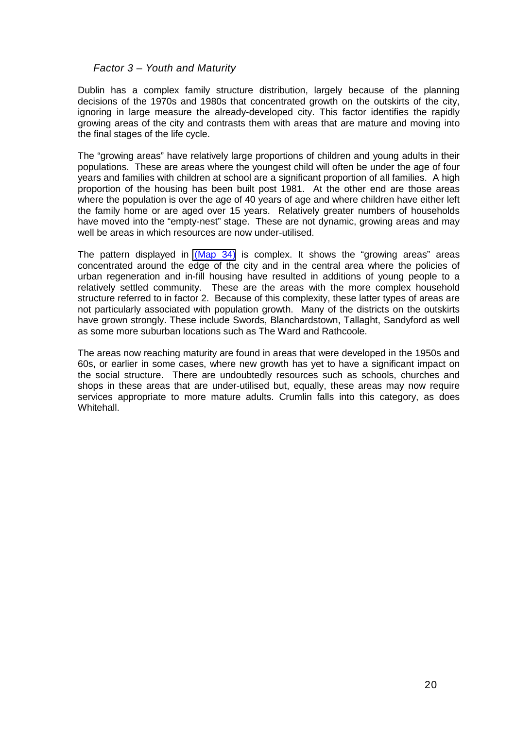### <span id="page-20-0"></span>*Factor 3 – Youth and Maturity*

Dublin has a complex family structure distribution, largely because of the planning decisions of the 1970s and 1980s that concentrated growth on the outskirts of the city, ignoring in large measure the already-developed city. This factor identifies the rapidly growing areas of the city and contrasts them with areas that are mature and moving into the final stages of the life cycle.

The "growing areas" have relatively large proportions of children and young adults in their populations. These are areas where the youngest child will often be under the age of four years and families with children at school are a significant proportion of all families. A high proportion of the housing has been built post 1981. At the other end are those areas where the population is over the age of 40 years of age and where children have either left the family home or are aged over 15 years. Relatively greater numbers of households have moved into the "empty-nest" stage. These are not dynamic, growing areas and may well be areas in which resources are now under-utilised.

The pattern displayed in (Map 34) is complex. It shows the "growing areas" areas concentrated around the edge of the city and in the central area where the policies of urban regeneration and in-fill housing have resulted in additions of young people to a relatively settled community. These are the areas with the more complex household structure referred to in factor 2. Because of this complexity, these latter types of areas are not particularly associated with population growth. Many of the districts on the outskirts have grown strongly. These include Swords, Blanchardstown, Tallaght, Sandyford as well as some more suburban locations such as The Ward and Rathcoole.

The areas now reaching maturity are found in areas that were developed in the 1950s and 60s, or earlier in some cases, where new growth has yet to have a significant impact on the social structure. There are undoubtedly resources such as schools, churches and shops in these areas that are under-utilised but, equally, these areas may now require services appropriate to more mature adults. Crumlin falls into this category, as does Whitehall.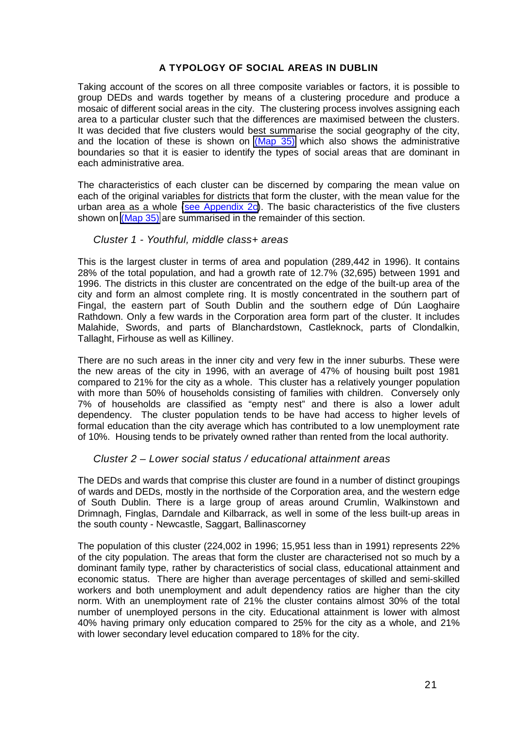### **A TYPOLOGY OF SOCIAL AREAS IN DUBLIN**

<span id="page-21-0"></span>Taking account of the scores on all three composite variables or factors, it is possible to group DEDs and wards together by means of a clustering procedure and produce a mosaic of different social areas in the city. The clustering process involves assigning each area to a particular cluster such that the differences are maximised between the clusters. It was decided that five clusters would best summarise the social geography of the city, and the location of these is shown on (Map 35) which also shows the administrative boundaries so that it is easier to identify the types of social areas that are dominant in each administrative area.

The characteristics of each cluster can be discerned by comparing the mean value on each of the original variables for districts that form the cluster, with the mean value for the urban area as a whole [\(see Appendix 2c\)](#page-31-0). The basic characteristics of the five clusters shown on (Map 35) are summarised in the remainder of this section.

### *Cluster 1 - Youthful, middle class+ areas*

This is the largest cluster in terms of area and population (289,442 in 1996). It contains 28% of the total population, and had a growth rate of 12.7% (32,695) between 1991 and 1996. The districts in this cluster are concentrated on the edge of the built-up area of the city and form an almost complete ring. It is mostly concentrated in the southern part of Fingal, the eastern part of South Dublin and the southern edge of Dún Laoghaire Rathdown. Only a few wards in the Corporation area form part of the cluster. It includes Malahide, Swords, and parts of Blanchardstown, Castleknock, parts of Clondalkin, Tallaght, Firhouse as well as Killiney.

There are no such areas in the inner city and very few in the inner suburbs. These were the new areas of the city in 1996, with an average of 47% of housing built post 1981 compared to 21% for the city as a whole. This cluster has a relatively younger population with more than 50% of households consisting of families with children. Conversely only 7% of households are classified as "empty nest" and there is also a lower adult dependency. The cluster population tends to be have had access to higher levels of formal education than the city average which has contributed to a low unemployment rate of 10%. Housing tends to be privately owned rather than rented from the local authority.

### *Cluster 2 – Lower social status / educational attainment areas*

The DEDs and wards that comprise this cluster are found in a number of distinct groupings of wards and DEDs, mostly in the northside of the Corporation area, and the western edge of South Dublin. There is a large group of areas around Crumlin, Walkinstown and Drimnagh, Finglas, Darndale and Kilbarrack, as well in some of the less built-up areas in the south county - Newcastle, Saggart, Ballinascorney

The population of this cluster (224,002 in 1996; 15,951 less than in 1991) represents 22% of the city population. The areas that form the cluster are characterised not so much by a dominant family type, rather by characteristics of social class, educational attainment and economic status. There are higher than average percentages of skilled and semi-skilled workers and both unemployment and adult dependency ratios are higher than the city norm. With an unemployment rate of 21% the cluster contains almost 30% of the total number of unemployed persons in the city. Educational attainment is lower with almost 40% having primary only education compared to 25% for the city as a whole, and 21% with lower secondary level education compared to 18% for the city.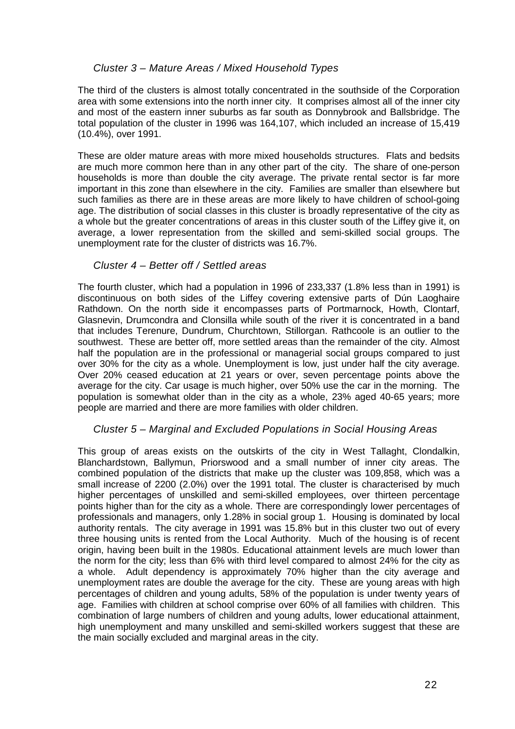### <span id="page-22-0"></span>*Cluster 3 – Mature Areas / Mixed Household Types*

The third of the clusters is almost totally concentrated in the southside of the Corporation area with some extensions into the north inner city. It comprises almost all of the inner city and most of the eastern inner suburbs as far south as Donnybrook and Ballsbridge. The total population of the cluster in 1996 was 164,107, which included an increase of 15,419 (10.4%), over 1991.

These are older mature areas with more mixed households structures. Flats and bedsits are much more common here than in any other part of the city. The share of one-person households is more than double the city average. The private rental sector is far more important in this zone than elsewhere in the city. Families are smaller than elsewhere but such families as there are in these areas are more likely to have children of school-going age. The distribution of social classes in this cluster is broadly representative of the city as a whole but the greater concentrations of areas in this cluster south of the Liffey give it, on average, a lower representation from the skilled and semi-skilled social groups. The unemployment rate for the cluster of districts was 16.7%.

### *Cluster 4 – Better off / Settled areas*

The fourth cluster, which had a population in 1996 of 233,337 (1.8% less than in 1991) is discontinuous on both sides of the Liffey covering extensive parts of Dún Laoghaire Rathdown. On the north side it encompasses parts of Portmarnock, Howth, Clontarf, Glasnevin, Drumcondra and Clonsilla while south of the river it is concentrated in a band that includes Terenure, Dundrum, Churchtown, Stillorgan. Rathcoole is an outlier to the southwest. These are better off, more settled areas than the remainder of the city. Almost half the population are in the professional or managerial social groups compared to just over 30% for the city as a whole. Unemployment is low, just under half the city average. Over 20% ceased education at 21 years or over, seven percentage points above the average for the city. Car usage is much higher, over 50% use the car in the morning. The population is somewhat older than in the city as a whole, 23% aged 40-65 years; more people are married and there are more families with older children.

### *Cluster 5 – Marginal and Excluded Populations in Social Housing Areas*

This group of areas exists on the outskirts of the city in West Tallaght, Clondalkin, Blanchardstown, Ballymun, Priorswood and a small number of inner city areas. The combined population of the districts that make up the cluster was 109,858, which was a small increase of 2200 (2.0%) over the 1991 total. The cluster is characterised by much higher percentages of unskilled and semi-skilled employees, over thirteen percentage points higher than for the city as a whole. There are correspondingly lower percentages of professionals and managers, only 1.28% in social group 1. Housing is dominated by local authority rentals. The city average in 1991 was 15.8% but in this cluster two out of every three housing units is rented from the Local Authority. Much of the housing is of recent origin, having been built in the 1980s. Educational attainment levels are much lower than the norm for the city; less than 6% with third level compared to almost 24% for the city as a whole. Adult dependency is approximately 70% higher than the city average and unemployment rates are double the average for the city. These are young areas with high percentages of children and young adults, 58% of the population is under twenty years of age. Families with children at school comprise over 60% of all families with children. This combination of large numbers of children and young adults, lower educational attainment, high unemployment and many unskilled and semi-skilled workers suggest that these are the main socially excluded and marginal areas in the city.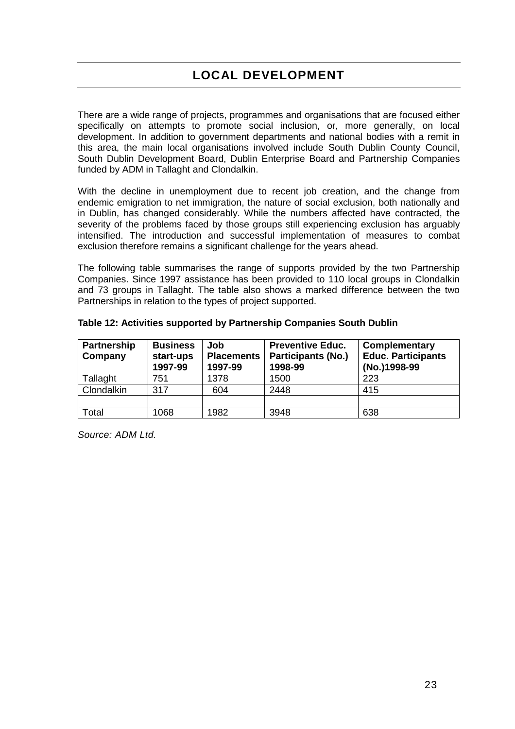<span id="page-23-0"></span>There are a wide range of projects, programmes and organisations that are focused either specifically on attempts to promote social inclusion, or, more generally, on local development. In addition to government departments and national bodies with a remit in this area, the main local organisations involved include South Dublin County Council, South Dublin Development Board, Dublin Enterprise Board and Partnership Companies funded by ADM in Tallaght and Clondalkin.

With the decline in unemployment due to recent job creation, and the change from endemic emigration to net immigration, the nature of social exclusion, both nationally and in Dublin, has changed considerably. While the numbers affected have contracted, the severity of the problems faced by those groups still experiencing exclusion has arguably intensified. The introduction and successful implementation of measures to combat exclusion therefore remains a significant challenge for the years ahead.

The following table summarises the range of supports provided by the two Partnership Companies. Since 1997 assistance has been provided to 110 local groups in Clondalkin and 73 groups in Tallaght. The table also shows a marked difference between the two Partnerships in relation to the types of project supported.

| <b>Partnership</b><br>Company | <b>Business</b><br>start-ups<br>1997-99 | Job<br><b>Placements</b><br>1997-99 | <b>Preventive Educ.</b><br><b>Participants (No.)</b><br>1998-99 | <b>Complementary</b><br><b>Educ. Participants</b><br>(No.)1998-99 |
|-------------------------------|-----------------------------------------|-------------------------------------|-----------------------------------------------------------------|-------------------------------------------------------------------|
| Tallaght                      | 751                                     | 1378                                | 1500                                                            | 223                                                               |
| Clondalkin                    | 317                                     | 604                                 | 2448                                                            | 415                                                               |
|                               |                                         |                                     |                                                                 |                                                                   |
| Total                         | 1068                                    | 1982                                | 3948                                                            | 638                                                               |

**Table 12: Activities supported by Partnership Companies South Dublin**

*Source: ADM Ltd.*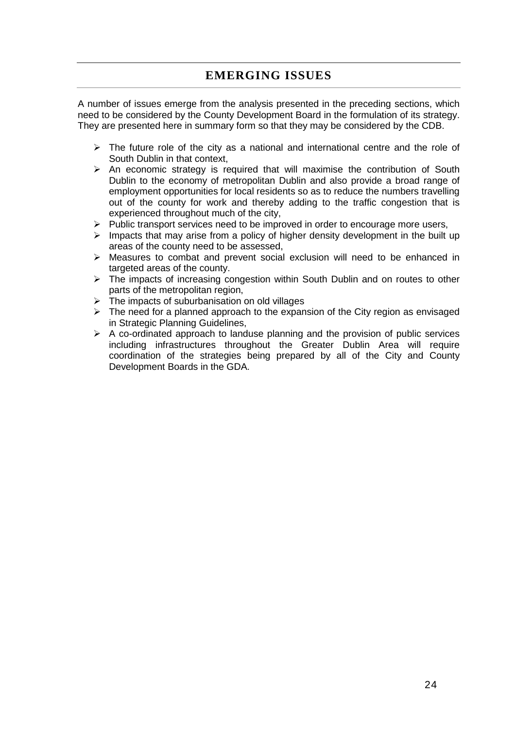### **EMERGING ISSUES**

<span id="page-24-0"></span>A number of issues emerge from the analysis presented in the preceding sections, which need to be considered by the County Development Board in the formulation of its strategy. They are presented here in summary form so that they may be considered by the CDB.

- $\triangleright$  The future role of the city as a national and international centre and the role of South Dublin in that context,
- $\triangleright$  An economic strategy is required that will maximise the contribution of South Dublin to the economy of metropolitan Dublin and also provide a broad range of employment opportunities for local residents so as to reduce the numbers travelling out of the county for work and thereby adding to the traffic congestion that is experienced throughout much of the city,
- $\triangleright$  Public transport services need to be improved in order to encourage more users,
- $\triangleright$  Impacts that may arise from a policy of higher density development in the built up areas of the county need to be assessed,
- $\triangleright$  Measures to combat and prevent social exclusion will need to be enhanced in targeted areas of the county.
- $\triangleright$  The impacts of increasing congestion within South Dublin and on routes to other parts of the metropolitan region,
- $\triangleright$  The impacts of suburbanisation on old villages
- $\triangleright$  The need for a planned approach to the expansion of the City region as envisaged in Strategic Planning Guidelines,
- $\triangleright$  A co-ordinated approach to landuse planning and the provision of public services including infrastructures throughout the Greater Dublin Area will require coordination of the strategies being prepared by all of the City and County Development Boards in the GDA.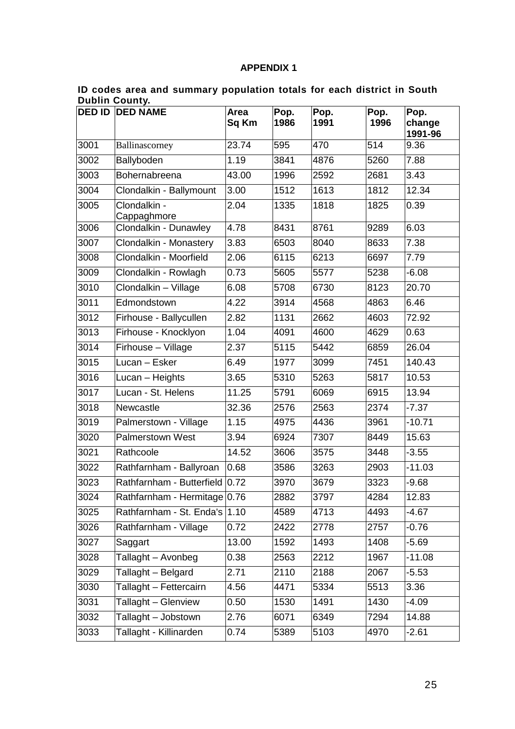### **APPENDIX 1**

| <b>DED ID</b> | vu<br><b>DED NAME</b>          | Area<br>Sq Km | Pop.<br>1986 | Pop.<br>1991 | Pop.<br>1996 | Pop.<br>change<br>1991-96 |
|---------------|--------------------------------|---------------|--------------|--------------|--------------|---------------------------|
| 3001          | Ballinascorney                 | 23.74         | 595          | 470          | 514          | 9.36                      |
| 3002          | Ballyboden                     | 1.19          | 3841         | 4876         | 5260         | 7.88                      |
| 3003          | Bohernabreena                  | 43.00         | 1996         | 2592         | 2681         | 3.43                      |
| 3004          | Clondalkin - Ballymount        | 3.00          | 1512         | 1613         | 1812         | 12.34                     |
| 3005          | Clondalkin -<br>Cappaghmore    | 2.04          | 1335         | 1818         | 1825         | 0.39                      |
| 3006          | Clondalkin - Dunawley          | 4.78          | 8431         | 8761         | 9289         | 6.03                      |
| 3007          | Clondalkin - Monastery         | 3.83          | 6503         | 8040         | 8633         | 7.38                      |
| 3008          | Clondalkin - Moorfield         | 2.06          | 6115         | 6213         | 6697         | 7.79                      |
| 3009          | Clondalkin - Rowlagh           | 0.73          | 5605         | 5577         | 5238         | $-6.08$                   |
| 3010          | Clondalkin - Village           | 6.08          | 5708         | 6730         | 8123         | 20.70                     |
| 3011          | Edmondstown                    | 4.22          | 3914         | 4568         | 4863         | 6.46                      |
| 3012          | Firhouse - Ballycullen         | 2.82          | 1131         | 2662         | 4603         | 72.92                     |
| 3013          | Firhouse - Knocklyon           | 1.04          | 4091         | 4600         | 4629         | 0.63                      |
| 3014          | Firhouse - Village             | 2.37          | 5115         | 5442         | 6859         | 26.04                     |
| 3015          | Lucan - Esker                  | 6.49          | 1977         | 3099         | 7451         | 140.43                    |
| 3016          | Lucan - Heights                | 3.65          | 5310         | 5263         | 5817         | 10.53                     |
| 3017          | Lucan - St. Helens             | 11.25         | 5791         | 6069         | 6915         | 13.94                     |
| 3018          | Newcastle                      | 32.36         | 2576         | 2563         | 2374         | $-7.37$                   |
| 3019          | Palmerstown - Village          | 1.15          | 4975         | 4436         | 3961         | $-10.71$                  |
| 3020          | <b>Palmerstown West</b>        | 3.94          | 6924         | 7307         | 8449         | 15.63                     |
| 3021          | Rathcoole                      | 14.52         | 3606         | 3575         | 3448         | $-3.55$                   |
| 3022          | Rathfarnham - Ballyroan        | 0.68          | 3586         | 3263         | 2903         | $-11.03$                  |
| 3023          | Rathfarnham - Butterfield 0.72 |               | 3970         | 3679         | 3323         | $-9.68$                   |
| 3024          | Rathfarnham - Hermitage 0.76   |               | 2882         | 3797         | 4284         | 12.83                     |
| 3025          | Rathfarnham - St. Enda's 1.10  |               | 4589         | 4713         | 4493         | $-4.67$                   |
| 3026          | Rathfarnham - Village          | 0.72          | 2422         | 2778         | 2757         | $-0.76$                   |
| 3027          | Saggart                        | 13.00         | 1592         | 1493         | 1408         | $-5.69$                   |
| 3028          | Tallaght - Avonbeg             | 0.38          | 2563         | 2212         | 1967         | $-11.08$                  |
| 3029          | Tallaght - Belgard             | 2.71          | 2110         | 2188         | 2067         | $-5.53$                   |
| 3030          | Tallaght - Fettercairn         | 4.56          | 4471         | 5334         | 5513         | 3.36                      |
| 3031          | Tallaght - Glenview            | 0.50          | 1530         | 1491         | 1430         | $-4.09$                   |
| 3032          | Tallaght - Jobstown            | 2.76          | 6071         | 6349         | 7294         | 14.88                     |
| 3033          | Tallaght - Killinarden         | 0.74          | 5389         | 5103         | 4970         | $-2.61$                   |

#### <span id="page-25-0"></span>**ID codes area and summary population totals for each district in South Dublin County.**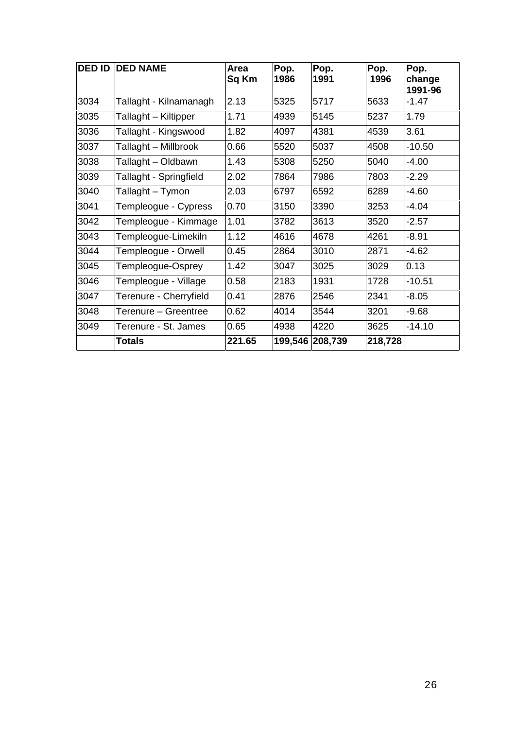| <b>DED ID</b> | <b>DED NAME</b>        | Area<br>Sq Km | Pop.<br>1986 | Pop.<br>1991    | Pop.<br>1996 | Pop.<br>change<br>1991-96 |
|---------------|------------------------|---------------|--------------|-----------------|--------------|---------------------------|
| 3034          | Tallaght - Kilnamanagh | 2.13          | 5325         | 5717            | 5633         | $-1.47$                   |
| 3035          | Tallaght – Kiltipper   | 1.71          | 4939         | 5145            | 5237         | 1.79                      |
| 3036          | Tallaght - Kingswood   | 1.82          | 4097         | 4381            | 4539         | 3.61                      |
| 3037          | Tallaght – Millbrook   | 0.66          | 5520         | 5037            | 4508         | $-10.50$                  |
| 3038          | Tallaght - Oldbawn     | 1.43          | 5308         | 5250            | 5040         | $-4.00$                   |
| 3039          | Tallaght - Springfield | 2.02          | 7864         | 7986            | 7803         | $-2.29$                   |
| 3040          | Tallaght – Tymon       | 2.03          | 6797         | 6592            | 6289         | $-4.60$                   |
| 3041          | Templeogue - Cypress   | 0.70          | 3150         | 3390            | 3253         | $-4.04$                   |
| 3042          | Templeogue - Kimmage   | 1.01          | 3782         | 3613            | 3520         | $-2.57$                   |
| 3043          | Templeogue-Limekiln    | 1.12          | 4616         | 4678            | 4261         | $-8.91$                   |
| 3044          | Templeogue - Orwell    | 0.45          | 2864         | 3010            | 2871         | $-4.62$                   |
| 3045          | Templeogue-Osprey      | 1.42          | 3047         | 3025            | 3029         | 0.13                      |
| 3046          | Templeogue - Village   | 0.58          | 2183         | 1931            | 1728         | $-10.51$                  |
| 3047          | Terenure - Cherryfield | 0.41          | 2876         | 2546            | 2341         | $-8.05$                   |
| 3048          | Terenure – Greentree   | 0.62          | 4014         | 3544            | 3201         | $-9.68$                   |
| 3049          | Terenure - St. James   | 0.65          | 4938         | 4220            | 3625         | $-14.10$                  |
|               | Totals                 | 221.65        |              | 199,546 208,739 | 218,728      |                           |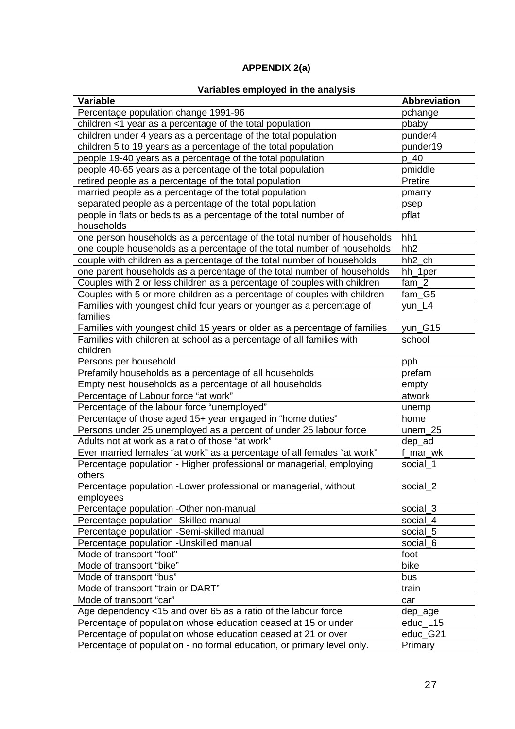### **APPENDIX 2(a)**

### **Variables employed in the analysis**

<span id="page-27-0"></span>

| Variable                                                                          | <b>Abbreviation</b> |
|-----------------------------------------------------------------------------------|---------------------|
| Percentage population change 1991-96                                              | pchange             |
| children <1 year as a percentage of the total population                          | pbaby               |
| children under 4 years as a percentage of the total population                    | punder4             |
| children 5 to 19 years as a percentage of the total population                    | punder19            |
| people 19-40 years as a percentage of the total population                        | p 40                |
| people 40-65 years as a percentage of the total population                        | pmiddle             |
| retired people as a percentage of the total population                            | Pretire             |
| married people as a percentage of the total population                            | pmarry              |
| separated people as a percentage of the total population                          | psep                |
| people in flats or bedsits as a percentage of the total number of<br>households   | pflat               |
| one person households as a percentage of the total number of households           | hh1                 |
| one couple households as a percentage of the total number of households           | hh <sub>2</sub>     |
| couple with children as a percentage of the total number of households            | hh <sub>2</sub> ch  |
| one parent households as a percentage of the total number of households           | hh_1per             |
| Couples with 2 or less children as a percentage of couples with children          | $fam_2$             |
| Couples with 5 or more children as a percentage of couples with children          | $fam_G5$            |
| Families with youngest child four years or younger as a percentage of<br>families | yun_L4              |
| Families with youngest child 15 years or older as a percentage of families        | yun_G15             |
| Families with children at school as a percentage of all families with<br>children | school              |
| Persons per household                                                             | pph                 |
| Prefamily households as a percentage of all households                            | prefam              |
| Empty nest households as a percentage of all households                           | empty               |
| Percentage of Labour force "at work"                                              | atwork              |
| Percentage of the labour force "unemployed"                                       | unemp               |
| Percentage of those aged 15+ year engaged in "home duties"                        | home                |
| Persons under 25 unemployed as a percent of under 25 labour force                 | $unem_25$           |
| Adults not at work as a ratio of those "at work"                                  | dep_ad              |
| Ever married females "at work" as a percentage of all females "at work"           | f_mar_wk            |
| Percentage population - Higher professional or managerial, employing<br>others    | social 1            |
| Percentage population -Lower professional or managerial, without<br>employees     | social_2            |
| Percentage population -Other non-manual                                           | social_3            |
| Percentage population - Skilled manual                                            | social_4            |
| Percentage population -Semi-skilled manual                                        | social_5            |
| Percentage population - Unskilled manual                                          | social 6            |
| Mode of transport "foot"                                                          | foot                |
| Mode of transport "bike"                                                          | bike                |
| Mode of transport "bus"                                                           | bus                 |
| Mode of transport "train or DART"                                                 | train               |
| Mode of transport "car"                                                           | car                 |
| Age dependency <15 and over 65 as a ratio of the labour force                     | dep_age             |
| Percentage of population whose education ceased at 15 or under                    | educ_L15            |
| Percentage of population whose education ceased at 21 or over                     | educ_G21            |
|                                                                                   | Primary             |
| Percentage of population - no formal education, or primary level only.            |                     |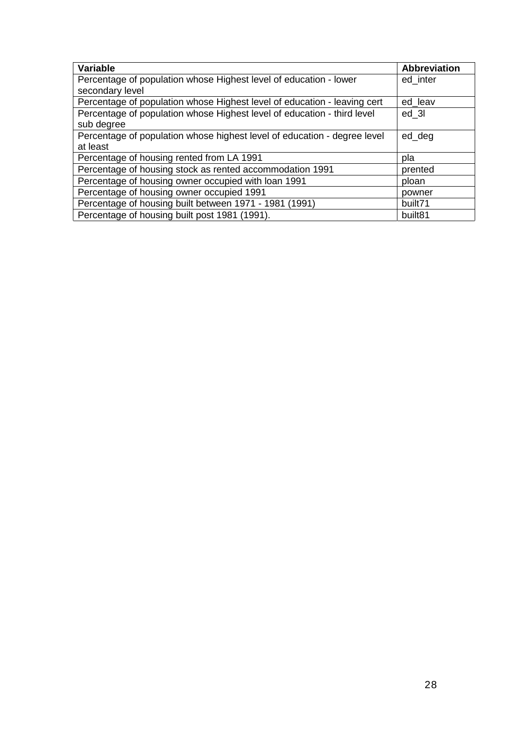| <b>Variable</b>                                                          | <b>Abbreviation</b> |
|--------------------------------------------------------------------------|---------------------|
| Percentage of population whose Highest level of education - lower        | ed inter            |
| secondary level                                                          |                     |
| Percentage of population whose Highest level of education - leaving cert | ed leav             |
| Percentage of population whose Highest level of education - third level  | ed 3I               |
| sub degree                                                               |                     |
| Percentage of population whose highest level of education - degree level | ed_deg              |
| at least                                                                 |                     |
| Percentage of housing rented from LA 1991                                | pla                 |
| Percentage of housing stock as rented accommodation 1991                 | prented             |
| Percentage of housing owner occupied with loan 1991                      | ploan               |
| Percentage of housing owner occupied 1991                                | powner              |
| Percentage of housing built between 1971 - 1981 (1991)                   | built71             |
| Percentage of housing built post 1981 (1991).                            | built <sub>81</sub> |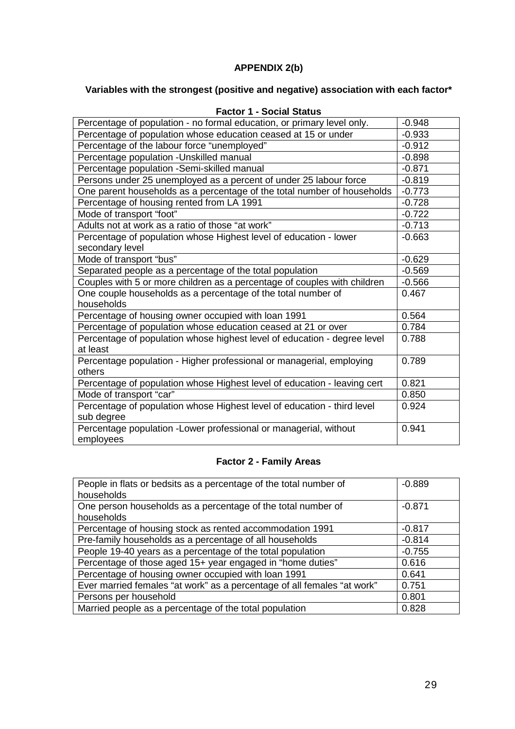### **APPENDIX 2(b)**

### <span id="page-29-0"></span>**Variables with the strongest (positive and negative) association with each factor\***

| ו טענטו ו<br>- טטטוט טנמנעס                                              |          |
|--------------------------------------------------------------------------|----------|
| Percentage of population - no formal education, or primary level only.   | $-0.948$ |
| Percentage of population whose education ceased at 15 or under           | $-0.933$ |
| Percentage of the labour force "unemployed"                              | $-0.912$ |
| Percentage population - Unskilled manual                                 | $-0.898$ |
| Percentage population -Semi-skilled manual                               | $-0.871$ |
| Persons under 25 unemployed as a percent of under 25 labour force        | $-0.819$ |
| One parent households as a percentage of the total number of households  | $-0.773$ |
| Percentage of housing rented from LA 1991                                | $-0.728$ |
| Mode of transport "foot"                                                 | $-0.722$ |
| Adults not at work as a ratio of those "at work"                         | $-0.713$ |
| Percentage of population whose Highest level of education - lower        | $-0.663$ |
| secondary level                                                          |          |
| Mode of transport "bus"                                                  | $-0.629$ |
| Separated people as a percentage of the total population                 | $-0.569$ |
| Couples with 5 or more children as a percentage of couples with children | $-0.566$ |
| One couple households as a percentage of the total number of             | 0.467    |
| households                                                               |          |
| Percentage of housing owner occupied with loan 1991                      | 0.564    |
| Percentage of population whose education ceased at 21 or over            | 0.784    |
| Percentage of population whose highest level of education - degree level | 0.788    |
| at least                                                                 |          |
| Percentage population - Higher professional or managerial, employing     | 0.789    |
| others                                                                   |          |
| Percentage of population whose Highest level of education - leaving cert | 0.821    |
| Mode of transport "car"                                                  | 0.850    |
| Percentage of population whose Highest level of education - third level  | 0.924    |
| sub degree                                                               |          |
| Percentage population - Lower professional or managerial, without        | 0.941    |
| employees                                                                |          |

### **Factor 1 - Social Status**

### **Factor 2 - Family Areas**

| People in flats or bedsits as a percentage of the total number of       | $-0.889$ |
|-------------------------------------------------------------------------|----------|
| households                                                              |          |
| One person households as a percentage of the total number of            | $-0.871$ |
| households                                                              |          |
| Percentage of housing stock as rented accommodation 1991                | $-0.817$ |
| Pre-family households as a percentage of all households                 | $-0.814$ |
| People 19-40 years as a percentage of the total population              | $-0.755$ |
| Percentage of those aged 15+ year engaged in "home duties"              | 0.616    |
| Percentage of housing owner occupied with loan 1991                     | 0.641    |
| Ever married females "at work" as a percentage of all females "at work" | 0.751    |
| Persons per household                                                   | 0.801    |
| Married people as a percentage of the total population                  | 0.828    |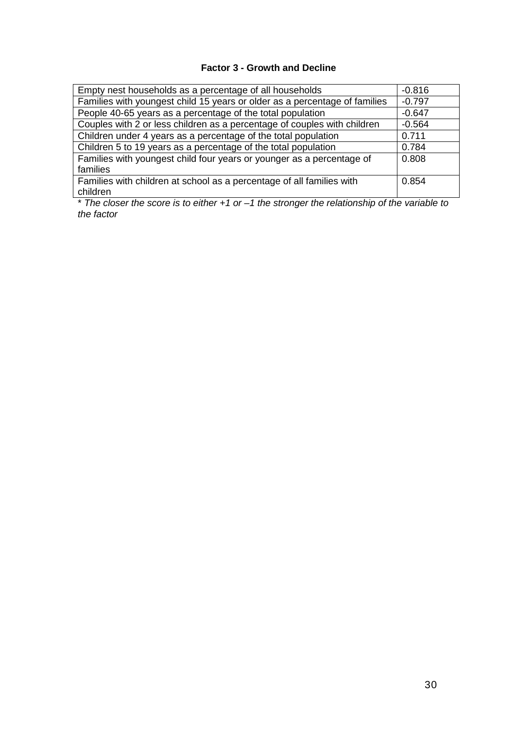### **Factor 3 - Growth and Decline**

| Empty nest households as a percentage of all households                    | $-0.816$ |
|----------------------------------------------------------------------------|----------|
| Families with youngest child 15 years or older as a percentage of families | $-0.797$ |
| People 40-65 years as a percentage of the total population                 | $-0.647$ |
| Couples with 2 or less children as a percentage of couples with children   | $-0.564$ |
| Children under 4 years as a percentage of the total population             | 0.711    |
| Children 5 to 19 years as a percentage of the total population             | 0.784    |
| Families with youngest child four years or younger as a percentage of      | 0.808    |
| families                                                                   |          |
| Families with children at school as a percentage of all families with      | 0.854    |
| children                                                                   |          |

\* *The closer the score is to either +1 or –1 the stronger the relationship of the variable to the factor*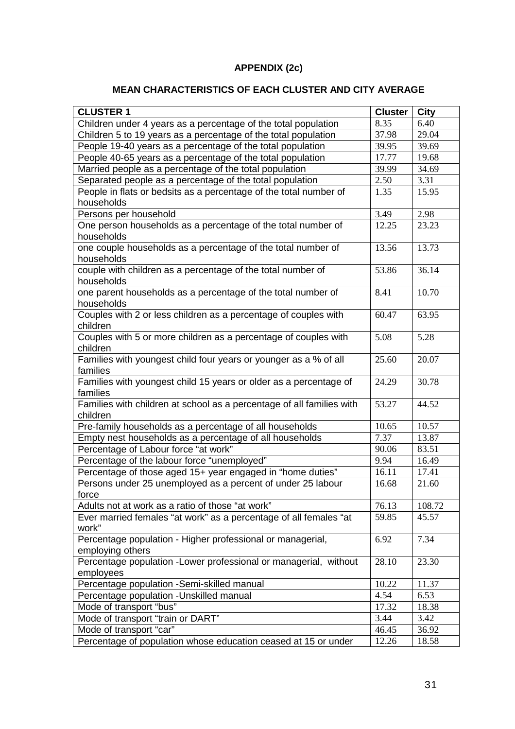### **APPENDIX (2c)**

### **MEAN CHARACTERISTICS OF EACH CLUSTER AND CITY AVERAGE**

<span id="page-31-0"></span>

| <b>CLUSTER 1</b>                                                      | <b>Cluster</b> | <b>City</b> |
|-----------------------------------------------------------------------|----------------|-------------|
| Children under 4 years as a percentage of the total population        | 8.35           | 6.40        |
| Children 5 to 19 years as a percentage of the total population        | 37.98          | 29.04       |
| People 19-40 years as a percentage of the total population            | 39.95          | 39.69       |
| People 40-65 years as a percentage of the total population            | 17.77          | 19.68       |
| Married people as a percentage of the total population                | 39.99          | 34.69       |
| Separated people as a percentage of the total population              | 2.50           | 3.31        |
| People in flats or bedsits as a percentage of the total number of     | 1.35           | 15.95       |
| households                                                            |                |             |
| Persons per household                                                 | 3.49           | 2.98        |
| One person households as a percentage of the total number of          | 12.25          | 23.23       |
| households                                                            |                |             |
| one couple households as a percentage of the total number of          | 13.56          | 13.73       |
| households                                                            |                |             |
| couple with children as a percentage of the total number of           | 53.86          | 36.14       |
| households                                                            |                |             |
| one parent households as a percentage of the total number of          | 8.41           | 10.70       |
| households                                                            |                |             |
| Couples with 2 or less children as a percentage of couples with       | 60.47          | 63.95       |
| children                                                              |                |             |
| Couples with 5 or more children as a percentage of couples with       | 5.08           | 5.28        |
| children                                                              |                |             |
| Families with youngest child four years or younger as a % of all      | 25.60          | 20.07       |
| families                                                              |                |             |
| Families with youngest child 15 years or older as a percentage of     | 24.29          | 30.78       |
| families                                                              |                |             |
| Families with children at school as a percentage of all families with | 53.27          | 44.52       |
| children                                                              |                |             |
| Pre-family households as a percentage of all households               | 10.65          | 10.57       |
| Empty nest households as a percentage of all households               | 7.37           | 13.87       |
| Percentage of Labour force "at work"                                  | 90.06          | 83.51       |
| Percentage of the labour force "unemployed"                           | 9.94           | 16.49       |
| Percentage of those aged 15+ year engaged in "home duties"            | 16.11          | 17.41       |
| Persons under 25 unemployed as a percent of under 25 labour           | 16.68          | 21.60       |
| force                                                                 |                |             |
| Adults not at work as a ratio of those "at work"                      | 76.13          | 108.72      |
| Ever married females "at work" as a percentage of all females "at     | 59.85          | 45.57       |
| work"                                                                 |                |             |
| Percentage population - Higher professional or managerial,            | 6.92           | 7.34        |
| employing others                                                      |                |             |
| Percentage population - Lower professional or managerial, without     | 28.10          | 23.30       |
| employees                                                             |                |             |
| Percentage population - Semi-skilled manual                           | 10.22          | 11.37       |
| Percentage population - Unskilled manual                              | 4.54           | 6.53        |
| Mode of transport "bus"                                               | 17.32          | 18.38       |
| Mode of transport "train or DART"                                     | 3.44           | 3.42        |
| Mode of transport "car"                                               | 46.45          | 36.92       |
| Percentage of population whose education ceased at 15 or under        | 12.26          | 18.58       |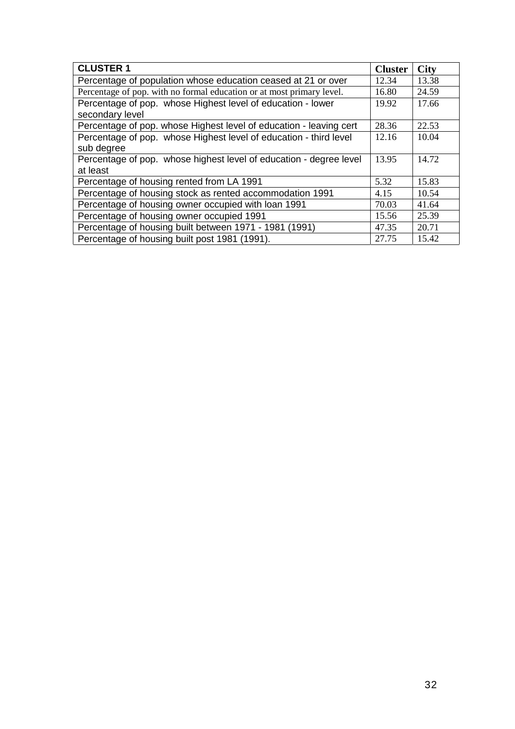| <b>CLUSTER 1</b>                                                      | <b>Cluster</b> | <b>City</b> |
|-----------------------------------------------------------------------|----------------|-------------|
| Percentage of population whose education ceased at 21 or over         | 12.34          | 13.38       |
| Percentage of pop. with no formal education or at most primary level. | 16.80          | 24.59       |
| Percentage of pop. whose Highest level of education - lower           | 19.92          | 17.66       |
| secondary level                                                       |                |             |
| Percentage of pop. whose Highest level of education - leaving cert    | 28.36          | 22.53       |
| Percentage of pop. whose Highest level of education - third level     | 12.16          | 10.04       |
| sub degree                                                            |                |             |
| Percentage of pop. whose highest level of education - degree level    | 13.95          | 14.72       |
| at least                                                              |                |             |
| Percentage of housing rented from LA 1991                             | 5.32           | 15.83       |
| Percentage of housing stock as rented accommodation 1991              | 4.15           | 10.54       |
| Percentage of housing owner occupied with loan 1991                   | 70.03          | 41.64       |
| Percentage of housing owner occupied 1991                             | 15.56          | 25.39       |
| Percentage of housing built between 1971 - 1981 (1991)                | 47.35          | 20.71       |
| Percentage of housing built post 1981 (1991).                         | 27.75          | 15.42       |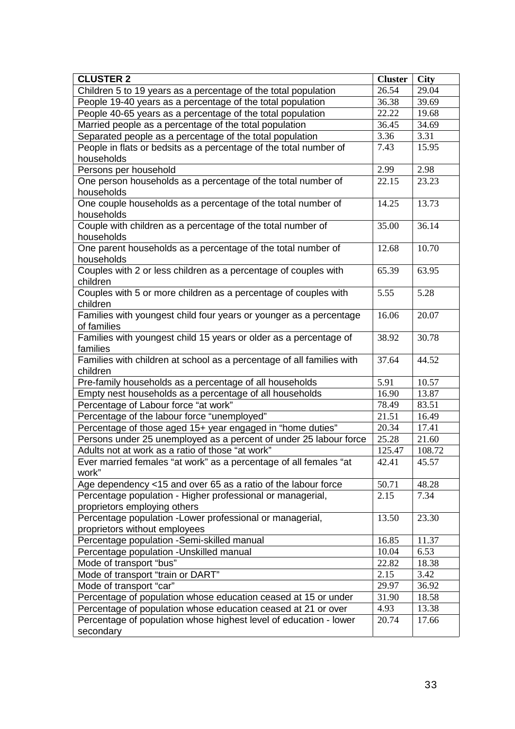| <b>CLUSTER 2</b>                                                      | <b>Cluster</b> | <b>City</b> |
|-----------------------------------------------------------------------|----------------|-------------|
| Children 5 to 19 years as a percentage of the total population        | 26.54          | 29.04       |
| People 19-40 years as a percentage of the total population            | 36.38          | 39.69       |
| People 40-65 years as a percentage of the total population            | 22.22          | 19.68       |
| Married people as a percentage of the total population                | 36.45          | 34.69       |
| Separated people as a percentage of the total population              | 3.36           | 3.31        |
| People in flats or bedsits as a percentage of the total number of     | 7.43           | 15.95       |
| households                                                            |                |             |
| Persons per household                                                 | 2.99           | 2.98        |
| One person households as a percentage of the total number of          | 22.15          | 23.23       |
| households                                                            |                |             |
| One couple households as a percentage of the total number of          | 14.25          | 13.73       |
| households                                                            |                |             |
| Couple with children as a percentage of the total number of           | 35.00          | 36.14       |
| households                                                            |                |             |
| One parent households as a percentage of the total number of          | 12.68          | 10.70       |
| households                                                            |                |             |
| Couples with 2 or less children as a percentage of couples with       | 65.39          | 63.95       |
| children                                                              |                |             |
| Couples with 5 or more children as a percentage of couples with       | 5.55           | 5.28        |
| children                                                              |                |             |
| Families with youngest child four years or younger as a percentage    | 16.06          | 20.07       |
| of families                                                           |                |             |
| Families with youngest child 15 years or older as a percentage of     | 38.92          | 30.78       |
| families                                                              |                |             |
| Families with children at school as a percentage of all families with | 37.64          | 44.52       |
| children                                                              |                |             |
| Pre-family households as a percentage of all households               | 5.91           | 10.57       |
| Empty nest households as a percentage of all households               | 16.90          | 13.87       |
| Percentage of Labour force "at work"                                  | 78.49          | 83.51       |
| Percentage of the labour force "unemployed"                           | 21.51          | 16.49       |
| Percentage of those aged 15+ year engaged in "home duties"            | 20.34          | 17.41       |
| Persons under 25 unemployed as a percent of under 25 labour force     | 25.28          | 21.60       |
| Adults not at work as a ratio of those "at work"                      | 125.47         | 108.72      |
| Ever married females "at work" as a percentage of all females "at     | 42.41          | 45.57       |
| work"                                                                 |                |             |
| Age dependency <15 and over 65 as a ratio of the labour force         | 50.71          | 48.28       |
| Percentage population - Higher professional or managerial,            | 2.15           | 7.34        |
| proprietors employing others                                          |                |             |
| Percentage population -Lower professional or managerial,              | 13.50          | 23.30       |
| proprietors without employees                                         |                |             |
| Percentage population -Semi-skilled manual                            | 16.85          | 11.37       |
| Percentage population - Unskilled manual                              | 10.04          | 6.53        |
| Mode of transport "bus"                                               | 22.82          | 18.38       |
| Mode of transport "train or DART"                                     | 2.15           | 3.42        |
| Mode of transport "car"                                               | 29.97          | 36.92       |
| Percentage of population whose education ceased at 15 or under        | 31.90          | 18.58       |
| Percentage of population whose education ceased at 21 or over         | 4.93           | 13.38       |
| Percentage of population whose highest level of education - lower     | 20.74          | 17.66       |
| secondary                                                             |                |             |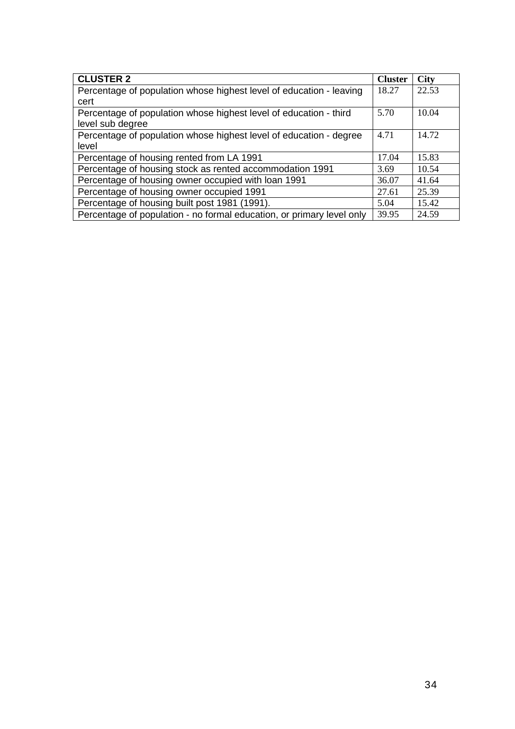| <b>CLUSTER 2</b>                                                      | <b>Cluster</b> | <b>City</b> |
|-----------------------------------------------------------------------|----------------|-------------|
| Percentage of population whose highest level of education - leaving   | 18.27          | 22.53       |
| cert                                                                  |                |             |
| Percentage of population whose highest level of education - third     | 5.70           | 10.04       |
| level sub degree                                                      |                |             |
| Percentage of population whose highest level of education - degree    | 4.71           | 14.72       |
| level                                                                 |                |             |
| Percentage of housing rented from LA 1991                             | 17.04          | 15.83       |
| Percentage of housing stock as rented accommodation 1991              | 3.69           | 10.54       |
| Percentage of housing owner occupied with loan 1991                   | 36.07          | 41.64       |
| Percentage of housing owner occupied 1991                             | 27.61          | 25.39       |
| Percentage of housing built post 1981 (1991).                         | 5.04           | 15.42       |
| Percentage of population - no formal education, or primary level only | 39.95          | 24.59       |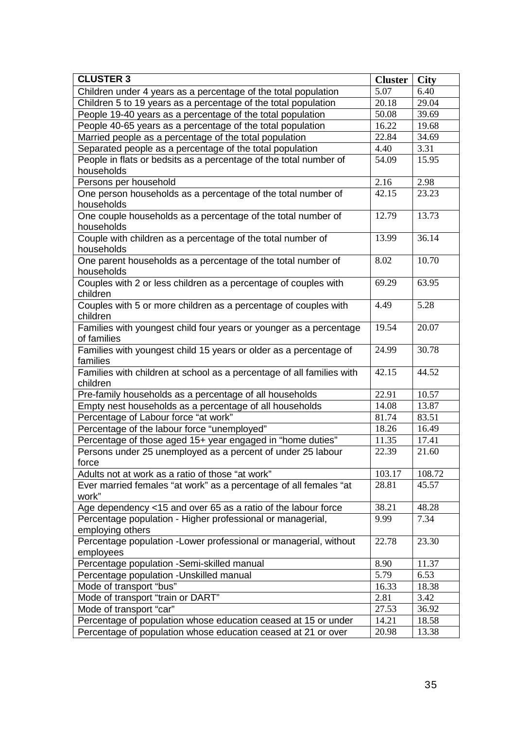| <b>CLUSTER 3</b>                                                                  | <b>Cluster</b> | <b>City</b> |
|-----------------------------------------------------------------------------------|----------------|-------------|
| Children under 4 years as a percentage of the total population                    | 5.07           | 6.40        |
| Children 5 to 19 years as a percentage of the total population                    | 20.18          | 29.04       |
| People 19-40 years as a percentage of the total population                        | 50.08          | 39.69       |
| People 40-65 years as a percentage of the total population                        | 16.22          | 19.68       |
| Married people as a percentage of the total population                            | 22.84          | 34.69       |
| Separated people as a percentage of the total population                          | 4.40           | 3.31        |
| People in flats or bedsits as a percentage of the total number of                 | 54.09          | 15.95       |
| households                                                                        |                |             |
| Persons per household                                                             | 2.16           | 2.98        |
| One person households as a percentage of the total number of<br>households        | 42.15          | 23.23       |
| One couple households as a percentage of the total number of<br>households        | 12.79          | 13.73       |
| Couple with children as a percentage of the total number of<br>households         | 13.99          | 36.14       |
| One parent households as a percentage of the total number of<br>households        | 8.02           | 10.70       |
| Couples with 2 or less children as a percentage of couples with<br>children       | 69.29          | 63.95       |
| Couples with 5 or more children as a percentage of couples with<br>children       | 4.49           | 5.28        |
| Families with youngest child four years or younger as a percentage<br>of families | 19.54          | 20.07       |
| Families with youngest child 15 years or older as a percentage of<br>families     | 24.99          | 30.78       |
| Families with children at school as a percentage of all families with<br>children | 42.15          | 44.52       |
| Pre-family households as a percentage of all households                           | 22.91          | 10.57       |
| Empty nest households as a percentage of all households                           | 14.08          | 13.87       |
| Percentage of Labour force "at work"                                              | 81.74          | 83.51       |
| Percentage of the labour force "unemployed"                                       | 18.26          | 16.49       |
| Percentage of those aged 15+ year engaged in "home duties"                        | 11.35          | 17.41       |
| Persons under 25 unemployed as a percent of under 25 labour<br>force              | 22.39          | 21.60       |
| Adults not at work as a ratio of those "at work"                                  | 103.17         | 108.72      |
| Ever married females "at work" as a percentage of all females "at<br>work"        | 28.81          | 45.57       |
| Age dependency <15 and over 65 as a ratio of the labour force                     | 38.21          | 48.28       |
| Percentage population - Higher professional or managerial,<br>employing others    | 9.99           | 7.34        |
| Percentage population - Lower professional or managerial, without<br>employees    | 22.78          | 23.30       |
| Percentage population -Semi-skilled manual                                        | 8.90           | 11.37       |
| Percentage population - Unskilled manual                                          | 5.79           | 6.53        |
| Mode of transport "bus"                                                           | 16.33          | 18.38       |
| Mode of transport "train or DART"                                                 | 2.81           | 3.42        |
| Mode of transport "car"                                                           | 27.53          | 36.92       |
| Percentage of population whose education ceased at 15 or under                    | 14.21          | 18.58       |
| Percentage of population whose education ceased at 21 or over                     | 20.98          | 13.38       |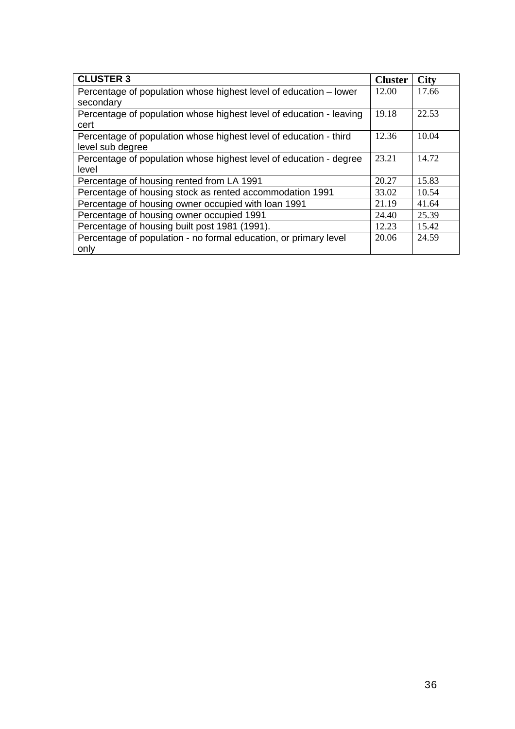| <b>CLUSTER 3</b>                                                    | <b>Cluster</b> | <b>City</b> |
|---------------------------------------------------------------------|----------------|-------------|
| Percentage of population whose highest level of education – lower   | 12.00          | 17.66       |
| secondary                                                           |                |             |
| Percentage of population whose highest level of education - leaving | 19.18          | 22.53       |
| cert                                                                |                |             |
| Percentage of population whose highest level of education - third   | 12.36          | 10.04       |
| level sub degree                                                    |                |             |
| Percentage of population whose highest level of education - degree  | 23.21          | 14.72       |
| level                                                               |                |             |
| Percentage of housing rented from LA 1991                           | 20.27          | 15.83       |
| Percentage of housing stock as rented accommodation 1991            | 33.02          | 10.54       |
| Percentage of housing owner occupied with loan 1991                 | 21.19          | 41.64       |
| Percentage of housing owner occupied 1991                           | 24.40          | 25.39       |
| Percentage of housing built post 1981 (1991).                       | 12.23          | 15.42       |
| Percentage of population - no formal education, or primary level    | 20.06          | 24.59       |
| only                                                                |                |             |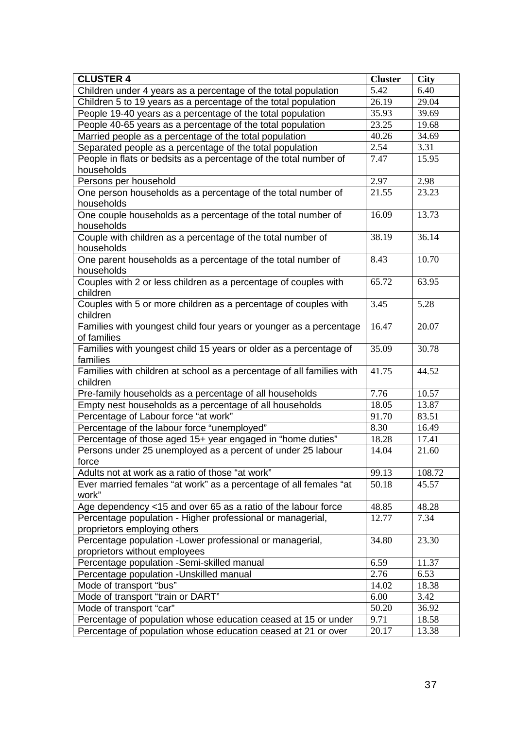| <b>CLUSTER 4</b>                                                           | <b>Cluster</b> | <b>City</b> |
|----------------------------------------------------------------------------|----------------|-------------|
| Children under 4 years as a percentage of the total population             | 5.42           | 6.40        |
| Children 5 to 19 years as a percentage of the total population             | 26.19          | 29.04       |
| People 19-40 years as a percentage of the total population                 | 35.93          | 39.69       |
| People 40-65 years as a percentage of the total population                 | 23.25          | 19.68       |
| Married people as a percentage of the total population                     | 40.26          | 34.69       |
| Separated people as a percentage of the total population                   | 2.54           | 3.31        |
| People in flats or bedsits as a percentage of the total number of          | 7.47           | 15.95       |
| households                                                                 |                |             |
| Persons per household                                                      | 2.97           | 2.98        |
| One person households as a percentage of the total number of<br>households | 21.55          | 23.23       |
| One couple households as a percentage of the total number of               | 16.09          | 13.73       |
| households                                                                 |                |             |
| Couple with children as a percentage of the total number of                | 38.19          | 36.14       |
| households                                                                 |                |             |
| One parent households as a percentage of the total number of               | 8.43           | 10.70       |
| households                                                                 |                |             |
| Couples with 2 or less children as a percentage of couples with            | 65.72          | 63.95       |
| children                                                                   |                |             |
| Couples with 5 or more children as a percentage of couples with            | 3.45           | 5.28        |
| children                                                                   |                |             |
| Families with youngest child four years or younger as a percentage         | 16.47          | 20.07       |
| of families                                                                |                |             |
| Families with youngest child 15 years or older as a percentage of          | 35.09          | 30.78       |
| families                                                                   |                |             |
| Families with children at school as a percentage of all families with      | 41.75          | 44.52       |
| children                                                                   |                |             |
| Pre-family households as a percentage of all households                    | 7.76           | 10.57       |
| Empty nest households as a percentage of all households                    | 18.05          | 13.87       |
| Percentage of Labour force "at work"                                       | 91.70          | 83.51       |
| Percentage of the labour force "unemployed"                                | 8.30           | 16.49       |
| Percentage of those aged 15+ year engaged in "home duties"                 | 18.28          | 17.41       |
| Persons under 25 unemployed as a percent of under 25 labour                | 14.04          | 21.60       |
| force                                                                      |                |             |
| Adults not at work as a ratio of those "at work"                           | 99.13          | 108.72      |
| Ever married females "at work" as a percentage of all females "at<br>work" | 50.18          | 45.57       |
| Age dependency <15 and over 65 as a ratio of the labour force              | 48.85          | 48.28       |
| Percentage population - Higher professional or managerial,                 | 12.77          | 7.34        |
| proprietors employing others                                               |                |             |
| Percentage population - Lower professional or managerial,                  | 34.80          | 23.30       |
| proprietors without employees                                              |                |             |
| Percentage population -Semi-skilled manual                                 | 6.59           | 11.37       |
| Percentage population - Unskilled manual                                   | 2.76           | 6.53        |
| Mode of transport "bus"                                                    | 14.02          | 18.38       |
| Mode of transport "train or DART"                                          | 6.00           | 3.42        |
| Mode of transport "car"                                                    | 50.20          | 36.92       |
| Percentage of population whose education ceased at 15 or under             | 9.71           | 18.58       |
| Percentage of population whose education ceased at 21 or over              | 20.17          | 13.38       |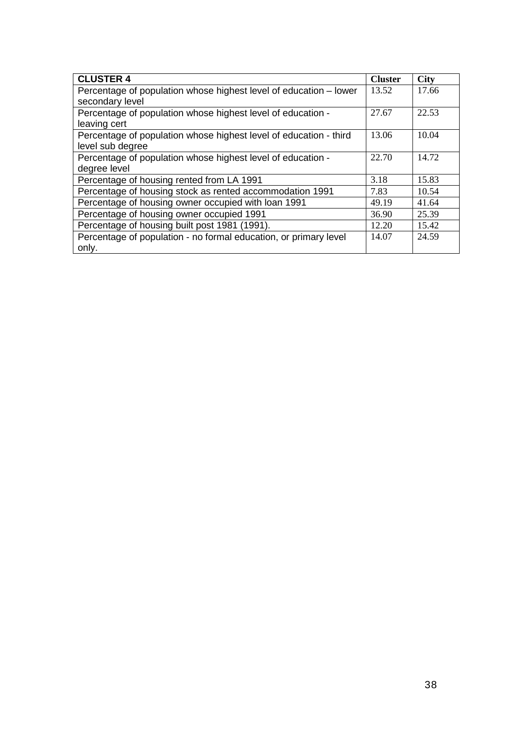| <b>CLUSTER 4</b>                                                  | <b>Cluster</b> | <b>City</b> |
|-------------------------------------------------------------------|----------------|-------------|
| Percentage of population whose highest level of education – lower | 13.52          | 17.66       |
| secondary level                                                   |                |             |
| Percentage of population whose highest level of education -       | 27.67          | 22.53       |
| leaving cert                                                      |                |             |
| Percentage of population whose highest level of education - third | 13.06          | 10.04       |
| level sub degree                                                  |                |             |
| Percentage of population whose highest level of education -       | 22.70          | 14.72       |
| degree level                                                      |                |             |
| Percentage of housing rented from LA 1991                         | 3.18           | 15.83       |
| Percentage of housing stock as rented accommodation 1991          | 7.83           | 10.54       |
| Percentage of housing owner occupied with loan 1991               | 49.19          | 41.64       |
| Percentage of housing owner occupied 1991                         | 36.90          | 25.39       |
| Percentage of housing built post 1981 (1991).                     | 12.20          | 15.42       |
| Percentage of population - no formal education, or primary level  | 14.07          | 24.59       |
| only.                                                             |                |             |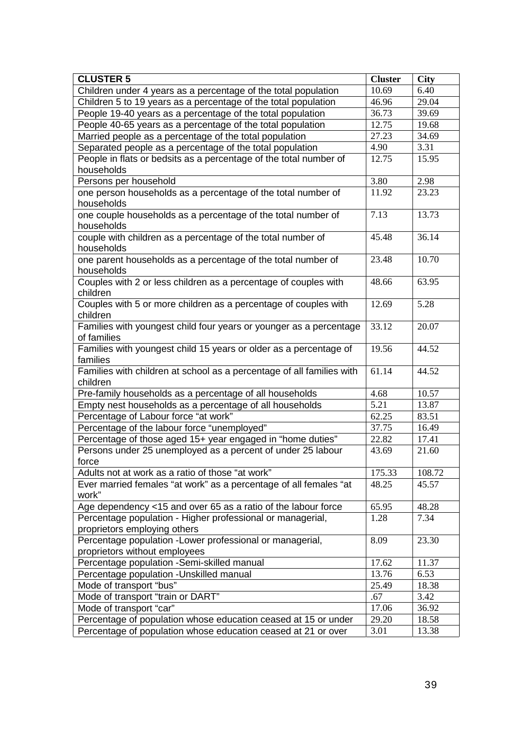| <b>CLUSTER 5</b>                                                                           | <b>Cluster</b>     | <b>City</b> |
|--------------------------------------------------------------------------------------------|--------------------|-------------|
| Children under 4 years as a percentage of the total population                             | $10.\overline{69}$ | 6.40        |
| Children 5 to 19 years as a percentage of the total population                             | 46.96              | 29.04       |
| People 19-40 years as a percentage of the total population                                 | 36.73              | 39.69       |
| People 40-65 years as a percentage of the total population                                 | 12.75              | 19.68       |
| Married people as a percentage of the total population                                     | 27.23              | 34.69       |
| Separated people as a percentage of the total population                                   | 4.90               | 3.31        |
| People in flats or bedsits as a percentage of the total number of                          | 12.75              | 15.95       |
| households                                                                                 |                    |             |
| Persons per household                                                                      | 3.80               | 2.98        |
| one person households as a percentage of the total number of<br>households                 | 11.92              | 23.23       |
| one couple households as a percentage of the total number of<br>households                 | 7.13               | 13.73       |
| couple with children as a percentage of the total number of<br>households                  | 45.48              | 36.14       |
| one parent households as a percentage of the total number of<br>households                 | 23.48              | 10.70       |
| Couples with 2 or less children as a percentage of couples with<br>children                | 48.66              | 63.95       |
| Couples with 5 or more children as a percentage of couples with<br>children                | 12.69              | 5.28        |
| Families with youngest child four years or younger as a percentage<br>of families          | 33.12              | 20.07       |
| Families with youngest child 15 years or older as a percentage of<br>families              | 19.56              | 44.52       |
| Families with children at school as a percentage of all families with<br>children          | 61.14              | 44.52       |
| Pre-family households as a percentage of all households                                    | 4.68               | 10.57       |
| Empty nest households as a percentage of all households                                    | 5.21               | 13.87       |
| Percentage of Labour force "at work"                                                       | 62.25              | 83.51       |
| Percentage of the labour force "unemployed"                                                | 37.75              | 16.49       |
| Percentage of those aged 15+ year engaged in "home duties"                                 | 22.82              | 17.41       |
| Persons under 25 unemployed as a percent of under 25 labour<br>force                       | 43.69              | 21.60       |
| Adults not at work as a ratio of those "at work"                                           | 175.33             | 108.72      |
| Ever married females "at work" as a percentage of all females "at<br>work"                 | 48.25              | 45.57       |
| Age dependency <15 and over 65 as a ratio of the labour force                              | 65.95              | 48.28       |
| Percentage population - Higher professional or managerial,<br>proprietors employing others | 1.28               | 7.34        |
| Percentage population - Lower professional or managerial,<br>proprietors without employees | 8.09               | 23.30       |
| Percentage population -Semi-skilled manual                                                 | 17.62              | 11.37       |
| Percentage population - Unskilled manual                                                   | 13.76              | 6.53        |
| Mode of transport "bus"                                                                    | 25.49              | 18.38       |
| Mode of transport "train or DART"                                                          | .67                | 3.42        |
| Mode of transport "car"                                                                    | 17.06              | 36.92       |
| Percentage of population whose education ceased at 15 or under                             | 29.20              | 18.58       |
| Percentage of population whose education ceased at 21 or over                              | 3.01               | 13.38       |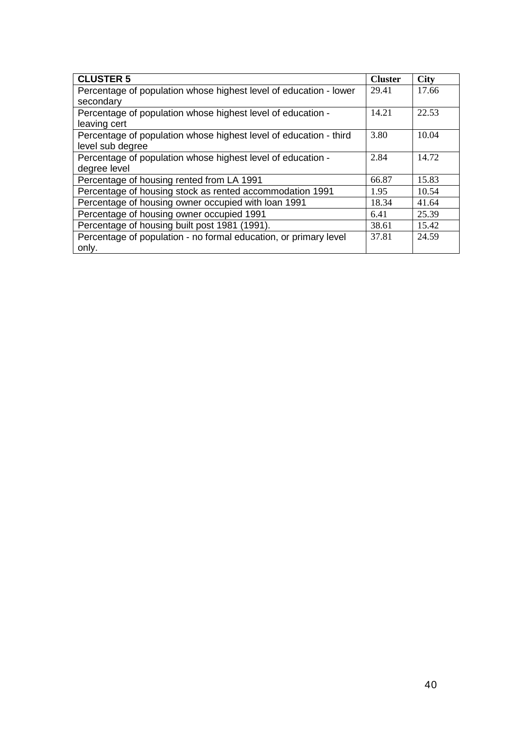| <b>CLUSTER 5</b>                                                  | <b>Cluster</b> | <b>City</b> |
|-------------------------------------------------------------------|----------------|-------------|
| Percentage of population whose highest level of education - lower | 29.41          | 17.66       |
| secondary                                                         |                |             |
| Percentage of population whose highest level of education -       | 14.21          | 22.53       |
| leaving cert                                                      |                |             |
| Percentage of population whose highest level of education - third | 3.80           | 10.04       |
| level sub degree                                                  |                |             |
| Percentage of population whose highest level of education -       | 2.84           | 14.72       |
| degree level                                                      |                |             |
| Percentage of housing rented from LA 1991                         | 66.87          | 15.83       |
| Percentage of housing stock as rented accommodation 1991          | 1.95           | 10.54       |
| Percentage of housing owner occupied with loan 1991               | 18.34          | 41.64       |
| Percentage of housing owner occupied 1991                         | 6.41           | 25.39       |
| Percentage of housing built post 1981 (1991).                     | 38.61          | 15.42       |
| Percentage of population - no formal education, or primary level  | 37.81          | 24.59       |
| only.                                                             |                |             |